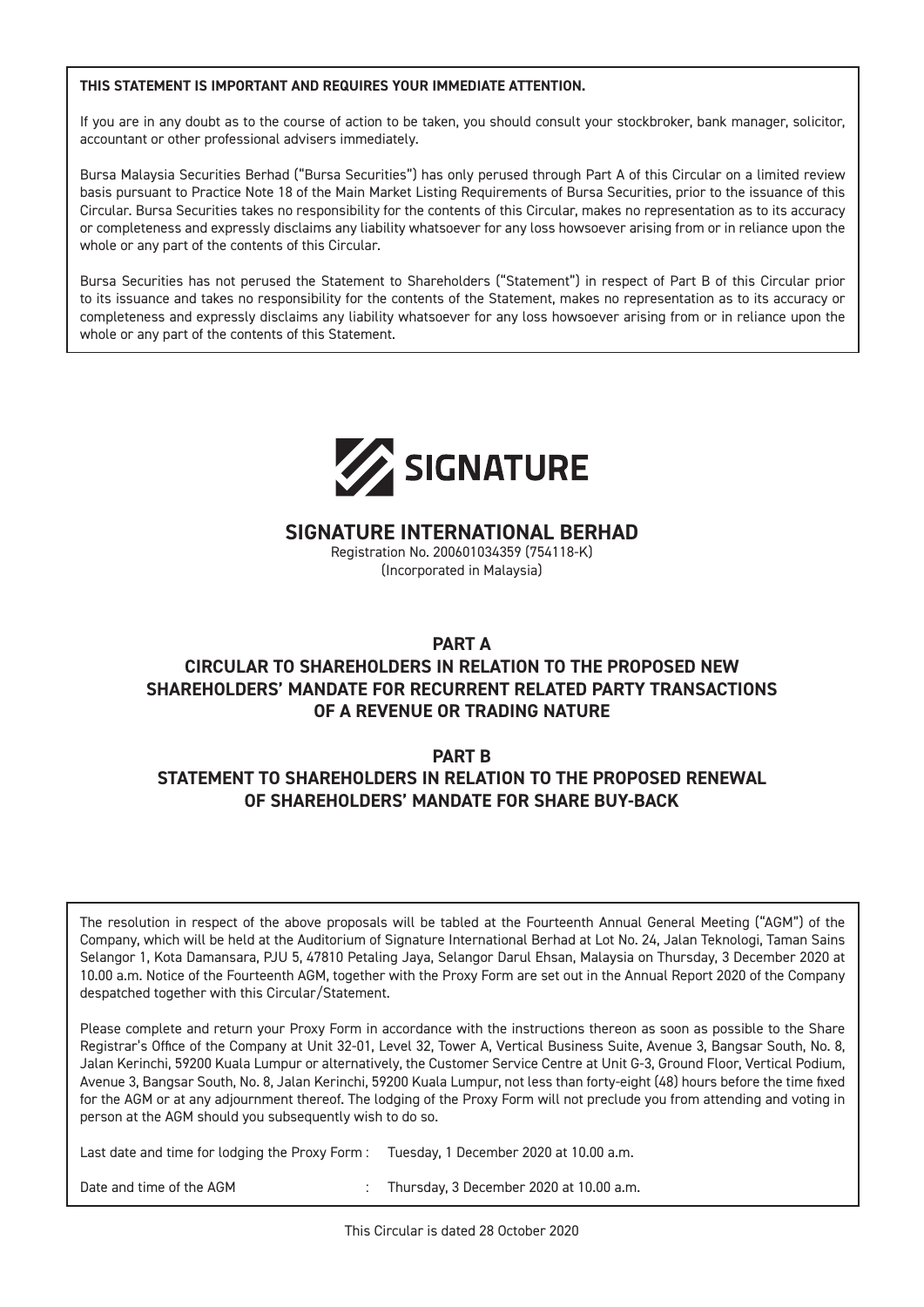#### **THIS STATEMENT IS IMPORTANT AND REQUIRES YOUR IMMEDIATE ATTENTION.**

If you are in any doubt as to the course of action to be taken, you should consult your stockbroker, bank manager, solicitor, accountant or other professional advisers immediately.

Bursa Malaysia Securities Berhad ("Bursa Securities") has only perused through Part A of this Circular on a limited review basis pursuant to Practice Note 18 of the Main Market Listing Requirements of Bursa Securities, prior to the issuance of this Circular. Bursa Securities takes no responsibility for the contents of this Circular, makes no representation as to its accuracy or completeness and expressly disclaims any liability whatsoever for any loss howsoever arising from or in reliance upon the whole or any part of the contents of this Circular.

Bursa Securities has not perused the Statement to Shareholders ("Statement") in respect of Part B of this Circular prior to its issuance and takes no responsibility for the contents of the Statement, makes no representation as to its accuracy or completeness and expressly disclaims any liability whatsoever for any loss howsoever arising from or in reliance upon the whole or any part of the contents of this Statement.



#### **SIGNATURE INTERNATIONAL BERHAD**

Registration No. 200601034359 (754118-K) (Incorporated in Malaysia)

#### **PART A**

#### **CIRCULAR TO SHAREHOLDERS IN RELATION TO THE PROPOSED NEW SHAREHOLDERS' MANDATE FOR RECURRENT RELATED PARTY TRANSACTIONS OF A REVENUE OR TRADING NATURE**

#### **PART B**

### **STATEMENT TO SHAREHOLDERS IN RELATION TO THE PROPOSED RENEWAL OF SHAREHOLDERS' MANDATE FOR SHARE BUY-BACK**

The resolution in respect of the above proposals will be tabled at the Fourteenth Annual General Meeting ("AGM") of the Company, which will be held at the Auditorium of Signature International Berhad at Lot No. 24, Jalan Teknologi, Taman Sains Selangor 1, Kota Damansara, PJU 5, 47810 Petaling Jaya, Selangor Darul Ehsan, Malaysia on Thursday, 3 December 2020 at 10.00 a.m. Notice of the Fourteenth AGM, together with the Proxy Form are set out in the Annual Report 2020 of the Company despatched together with this Circular/Statement.

Please complete and return your Proxy Form in accordance with the instructions thereon as soon as possible to the Share Registrar's Office of the Company at Unit 32-01, Level 32, Tower A, Vertical Business Suite, Avenue 3, Bangsar South, No. 8, Jalan Kerinchi, 59200 Kuala Lumpur or alternatively, the Customer Service Centre at Unit G-3, Ground Floor, Vertical Podium, Avenue 3, Bangsar South, No. 8, Jalan Kerinchi, 59200 Kuala Lumpur, not less than forty-eight (48) hours before the time fixed for the AGM or at any adjournment thereof. The lodging of the Proxy Form will not preclude you from attending and voting in person at the AGM should you subsequently wish to do so.

Last date and time for lodging the Proxy Form : Tuesday, 1 December 2020 at 10.00 a.m.

Date and time of the AGM interest in the SC and time of the AGM interest in the Thursday, 3 December 2020 at 10.00 a.m.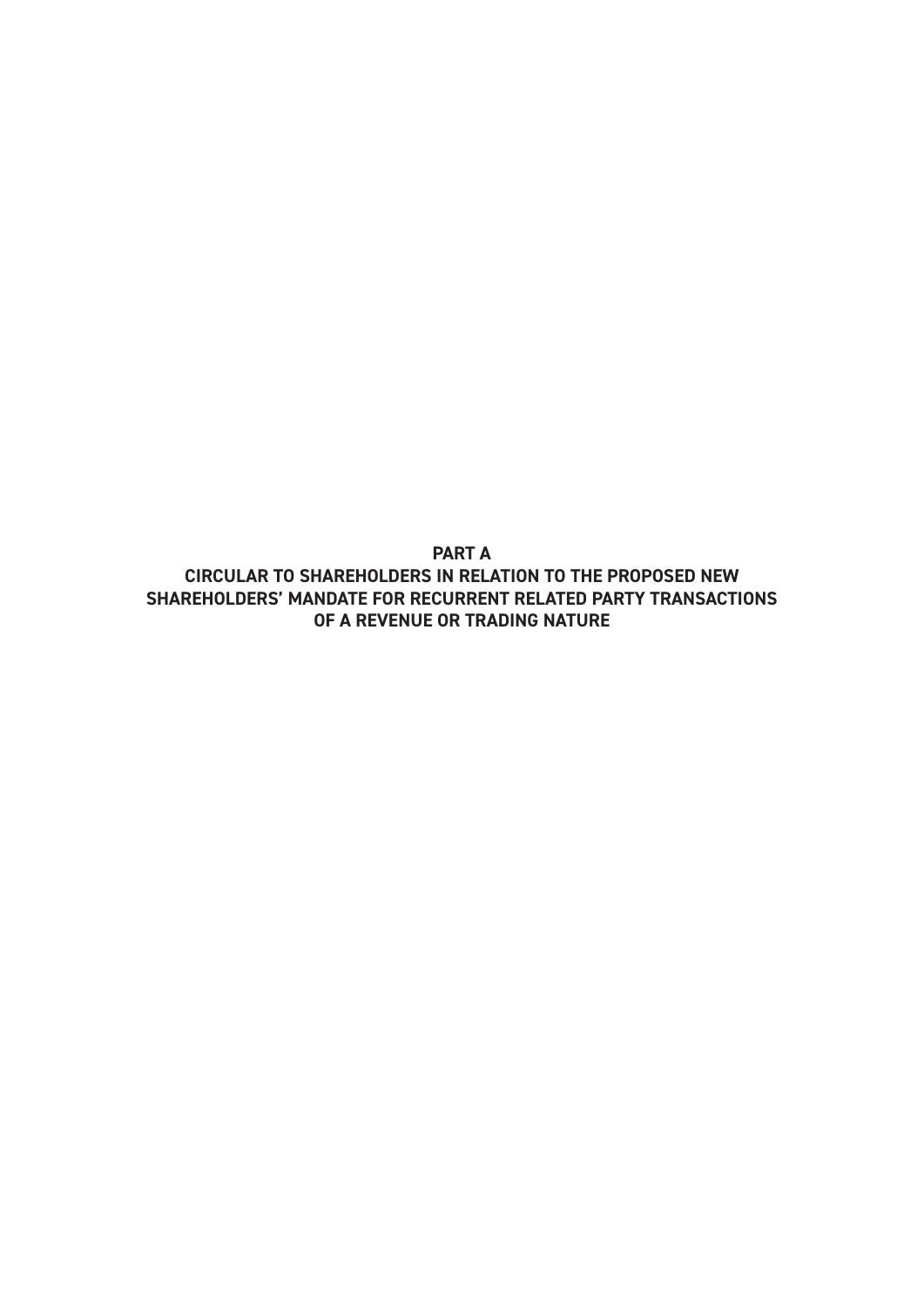**PART A CIRCULAR TO SHAREHOLDERS IN RELATION TO THE PROPOSED NEW SHAREHOLDERS' MANDATE FOR RECURRENT RELATED PARTY TRANSACTIONS OF A REVENUE OR TRADING NATURE**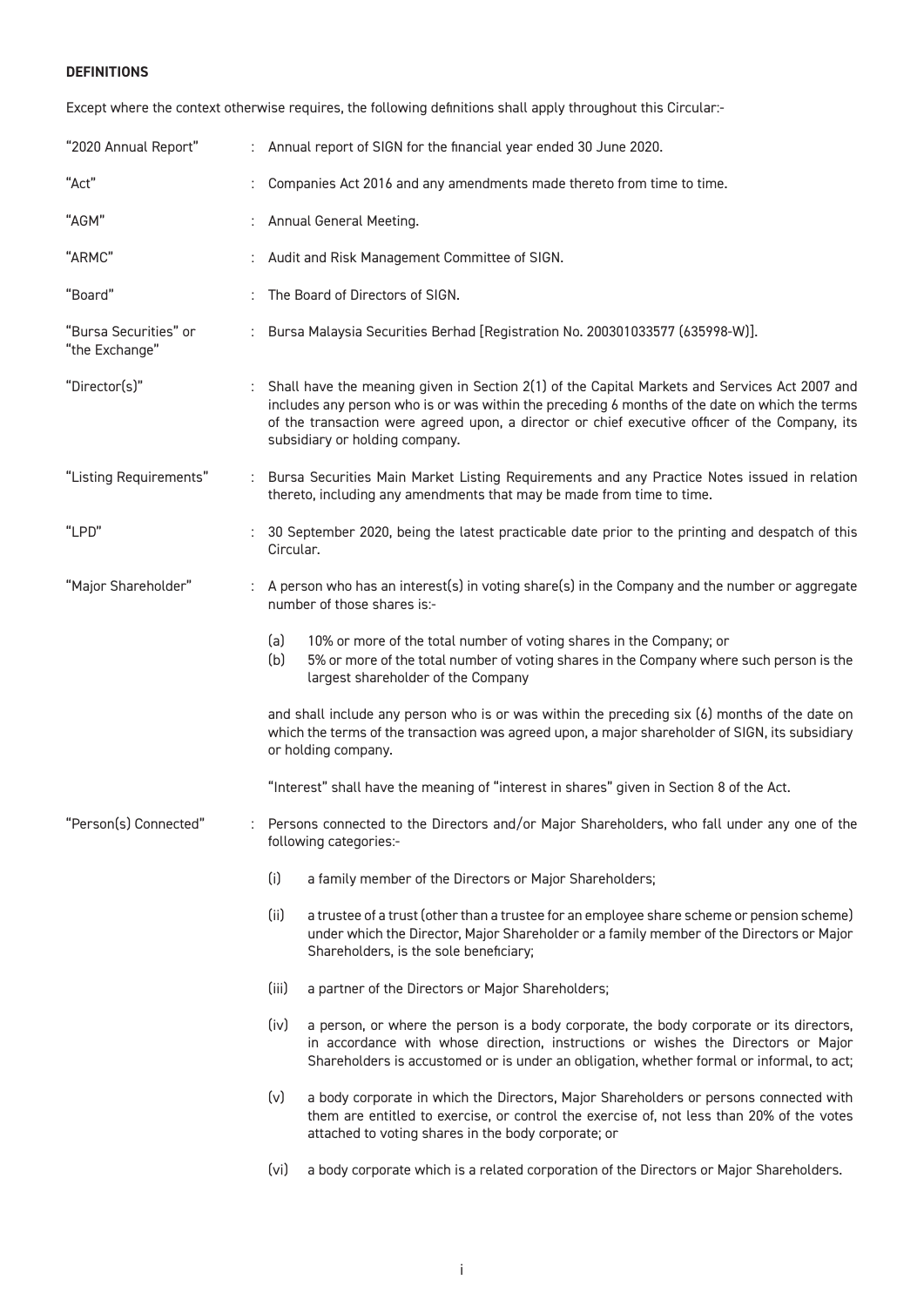#### **DEFINITIONS**

Except where the context otherwise requires, the following definitions shall apply throughout this Circular:-

| "2020 Annual Report"                    | : Annual report of SIGN for the financial year ended 30 June 2020.                                                                                                                                                                                                                                                                    |
|-----------------------------------------|---------------------------------------------------------------------------------------------------------------------------------------------------------------------------------------------------------------------------------------------------------------------------------------------------------------------------------------|
| "Act"                                   | Companies Act 2016 and any amendments made thereto from time to time.                                                                                                                                                                                                                                                                 |
| "AGM"                                   | Annual General Meeting.                                                                                                                                                                                                                                                                                                               |
| "ARMC"                                  | Audit and Risk Management Committee of SIGN.                                                                                                                                                                                                                                                                                          |
| "Board"                                 | The Board of Directors of SIGN.                                                                                                                                                                                                                                                                                                       |
| "Bursa Securities" or<br>"the Exchange" | Bursa Malaysia Securities Berhad [Registration No. 200301033577 (635998-W)].                                                                                                                                                                                                                                                          |
| "Director(s)"                           | : Shall have the meaning given in Section 2(1) of the Capital Markets and Services Act 2007 and<br>includes any person who is or was within the preceding 6 months of the date on which the terms<br>of the transaction were agreed upon, a director or chief executive officer of the Company, its<br>subsidiary or holding company. |
| "Listing Requirements"                  | : Bursa Securities Main Market Listing Requirements and any Practice Notes issued in relation<br>thereto, including any amendments that may be made from time to time.                                                                                                                                                                |
| "LPD"                                   | 30 September 2020, being the latest practicable date prior to the printing and despatch of this<br>Circular.                                                                                                                                                                                                                          |
| "Major Shareholder"                     | A person who has an interest(s) in voting share(s) in the Company and the number or aggregate<br>number of those shares is:-                                                                                                                                                                                                          |
|                                         | (a)<br>10% or more of the total number of voting shares in the Company; or<br>(b)<br>5% or more of the total number of voting shares in the Company where such person is the<br>largest shareholder of the Company                                                                                                                    |
|                                         | and shall include any person who is or was within the preceding six (6) months of the date on<br>which the terms of the transaction was agreed upon, a major shareholder of SIGN, its subsidiary<br>or holding company.                                                                                                               |
|                                         | "Interest" shall have the meaning of "interest in shares" given in Section 8 of the Act.                                                                                                                                                                                                                                              |
| "Person(s) Connected"                   | Persons connected to the Directors and/or Major Shareholders, who fall under any one of the<br>following categories:-                                                                                                                                                                                                                 |
|                                         | (i)<br>a family member of the Directors or Major Shareholders;                                                                                                                                                                                                                                                                        |
|                                         | (ii)<br>a trustee of a trust (other than a trustee for an employee share scheme or pension scheme)<br>under which the Director, Major Shareholder or a family member of the Directors or Major<br>Shareholders, is the sole beneficiary;                                                                                              |
|                                         | (iii)<br>a partner of the Directors or Major Shareholders;                                                                                                                                                                                                                                                                            |
|                                         | (iv)<br>a person, or where the person is a body corporate, the body corporate or its directors,<br>in accordance with whose direction, instructions or wishes the Directors or Major<br>Shareholders is accustomed or is under an obligation, whether formal or informal, to act;                                                     |
|                                         | (v)<br>a body corporate in which the Directors, Major Shareholders or persons connected with<br>them are entitled to exercise, or control the exercise of, not less than 20% of the votes<br>attached to voting shares in the body corporate; or                                                                                      |
|                                         | (v <sub>i</sub> )<br>a body corporate which is a related corporation of the Directors or Major Shareholders.                                                                                                                                                                                                                          |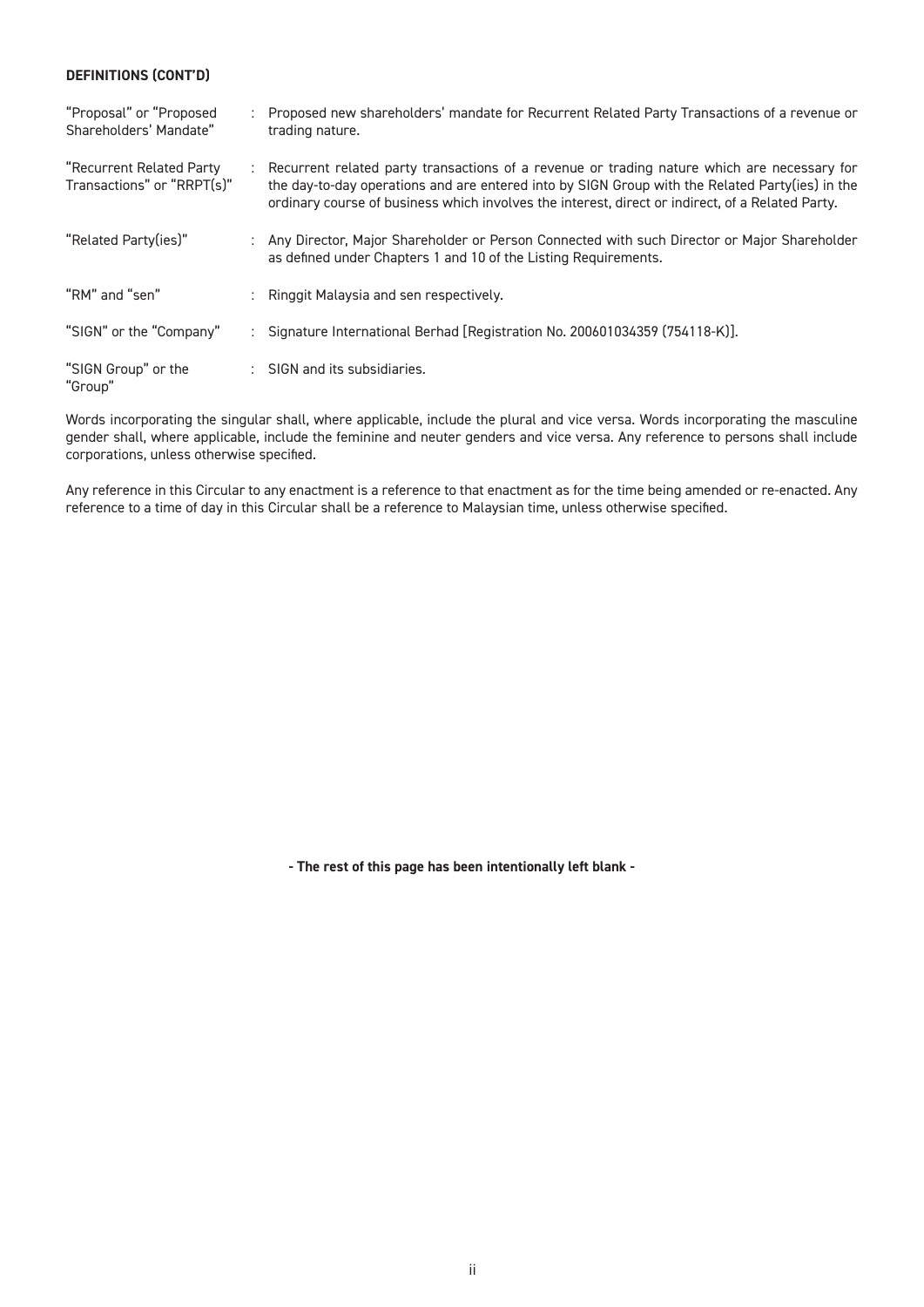#### **DEFINITIONS (CONT'D)**

| "Proposal" or "Proposed<br>Shareholders' Mandate"      | Proposed new shareholders' mandate for Recurrent Related Party Transactions of a revenue or<br>trading nature.                                                                                                                                                                                     |
|--------------------------------------------------------|----------------------------------------------------------------------------------------------------------------------------------------------------------------------------------------------------------------------------------------------------------------------------------------------------|
| "Recurrent Related Party<br>Transactions" or "RRPT(s)" | Recurrent related party transactions of a revenue or trading nature which are necessary for<br>the day-to-day operations and are entered into by SIGN Group with the Related Party(ies) in the<br>ordinary course of business which involves the interest, direct or indirect, of a Related Party. |
| "Related Party(ies)"                                   | : Any Director, Major Shareholder or Person Connected with such Director or Major Shareholder<br>as defined under Chapters 1 and 10 of the Listing Requirements.                                                                                                                                   |
| "RM" and "sen"                                         | : Ringgit Malaysia and sen respectively.                                                                                                                                                                                                                                                           |
| "SIGN" or the "Company"                                | : Signature International Berhad [Registration No. 200601034359 (754118-K)].                                                                                                                                                                                                                       |
| "SIGN Group" or the<br>"Group"                         | : SIGN and its subsidiaries.                                                                                                                                                                                                                                                                       |

Words incorporating the singular shall, where applicable, include the plural and vice versa. Words incorporating the masculine gender shall, where applicable, include the feminine and neuter genders and vice versa. Any reference to persons shall include corporations, unless otherwise specified.

Any reference in this Circular to any enactment is a reference to that enactment as for the time being amended or re-enacted. Any reference to a time of day in this Circular shall be a reference to Malaysian time, unless otherwise specified.

**- The rest of this page has been intentionally left blank -**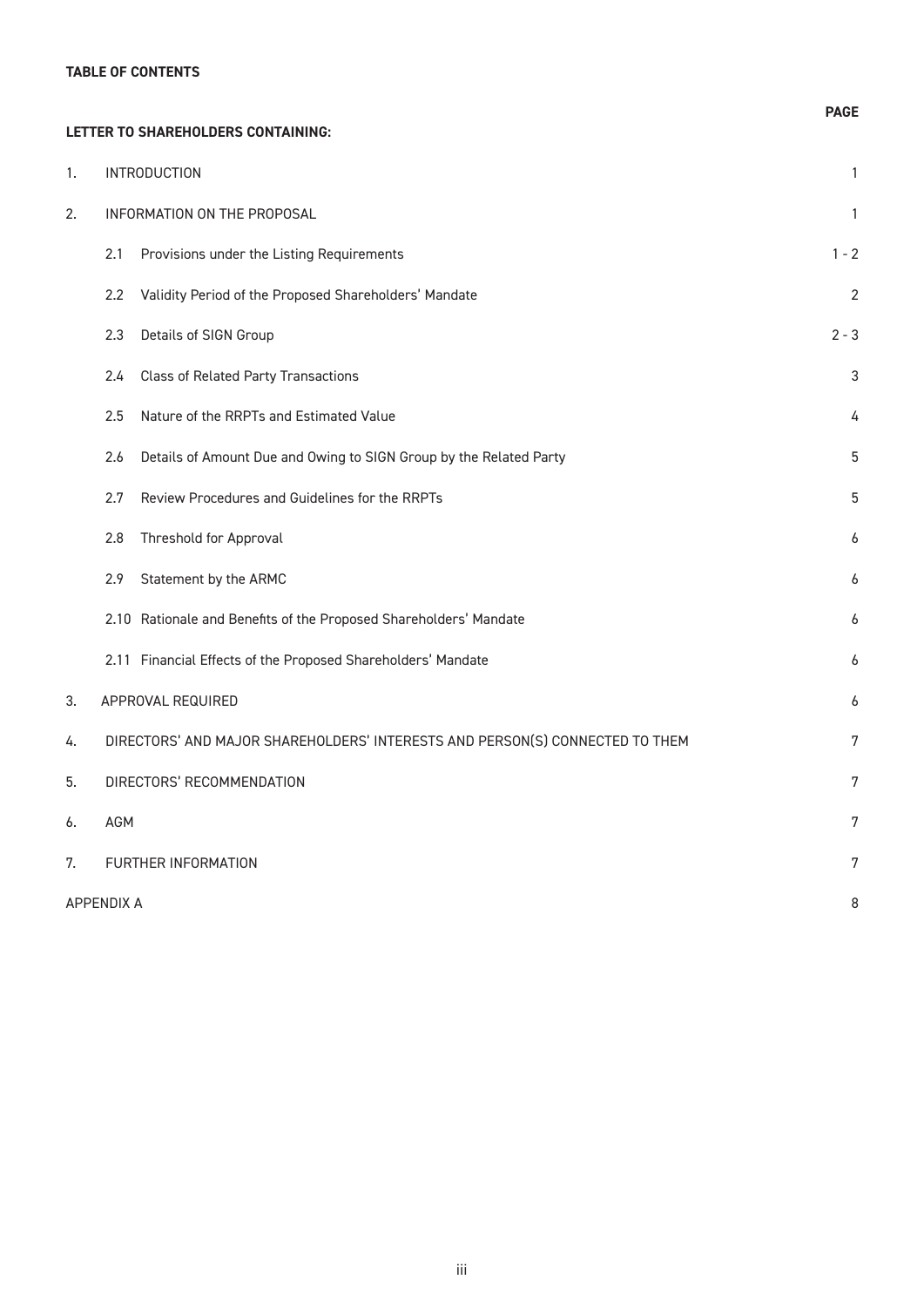#### **TABLE OF CONTENTS**

|    | LETTER TO SHAREHOLDERS CONTAINING:                                           | <b>PAGE</b> |
|----|------------------------------------------------------------------------------|-------------|
| 1. | <b>INTRODUCTION</b>                                                          | 1           |
| 2. | INFORMATION ON THE PROPOSAL                                                  | 1           |
|    | Provisions under the Listing Requirements<br>2.1                             | $1 - 2$     |
|    | Validity Period of the Proposed Shareholders' Mandate<br>$2.2\phantom{0}$    | 2           |
|    | Details of SIGN Group<br>2.3                                                 | $2 - 3$     |
|    | 2.4<br><b>Class of Related Party Transactions</b>                            | З           |
|    | Nature of the RRPTs and Estimated Value<br>2.5                               |             |
|    | Details of Amount Due and Owing to SIGN Group by the Related Party<br>2.6    | 5           |
|    | Review Procedures and Guidelines for the RRPTs<br>2.7                        | 5           |
|    | Threshold for Approval<br>2.8                                                | 6           |
|    | Statement by the ARMC<br>2.9                                                 | h           |
|    | 2.10 Rationale and Benefits of the Proposed Shareholders' Mandate            | 6           |
|    | 2.11 Financial Effects of the Proposed Shareholders' Mandate                 | 6           |
| 3. | APPROVAL REQUIRED                                                            |             |
| 4. | DIRECTORS' AND MAJOR SHAREHOLDERS' INTERESTS AND PERSON(S) CONNECTED TO THEM | 7           |
| 5. | DIRECTORS' RECOMMENDATION                                                    | 7           |
| 6. | <b>AGM</b>                                                                   | 7           |
| 7. | FURTHER INFORMATION                                                          | 7           |
|    | <b>APPENDIX A</b>                                                            | 8           |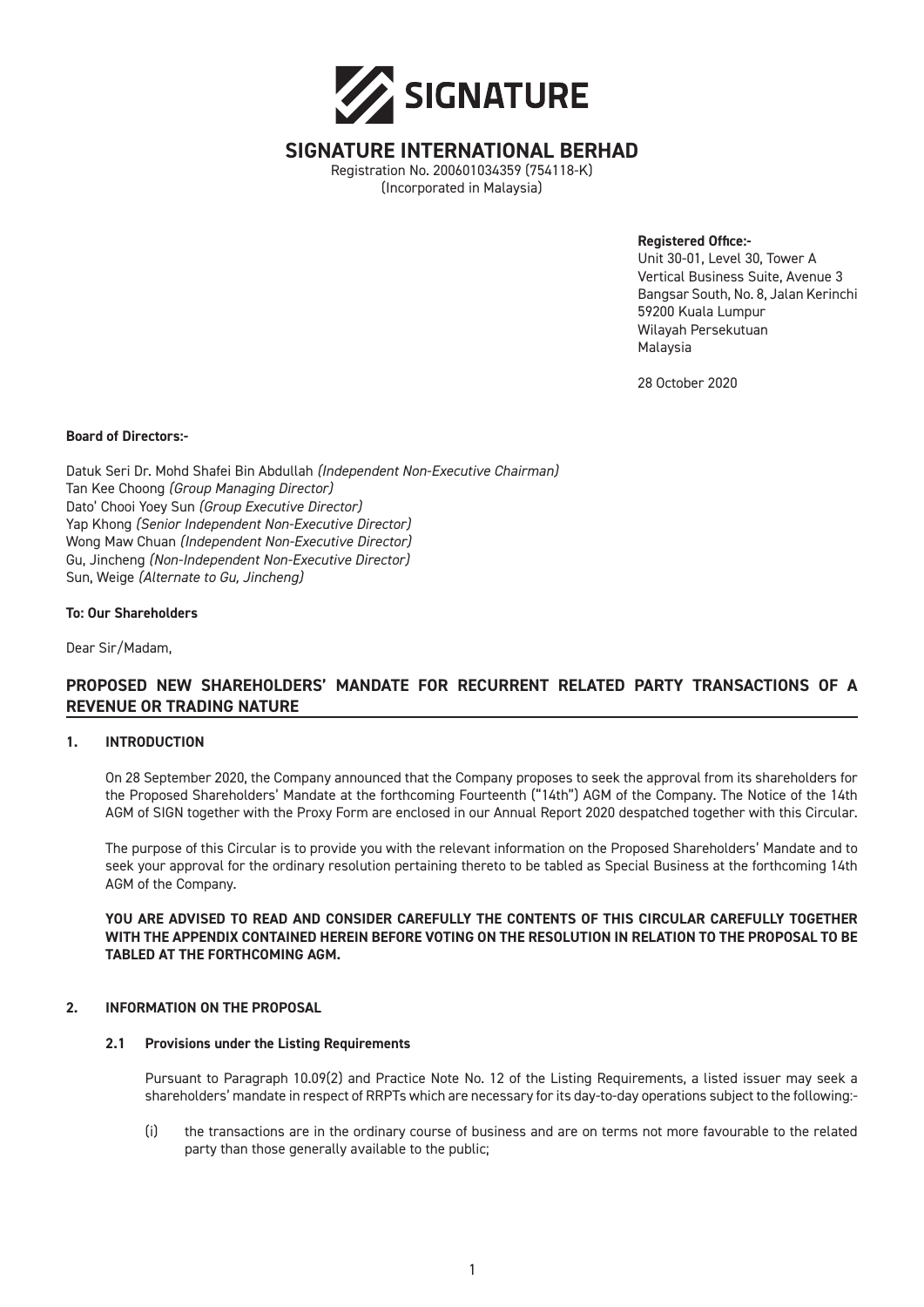

#### **SIGNATURE INTERNATIONAL BERHAD**

Registration No. 200601034359 (754118-K) (Incorporated in Malaysia)

**Registered Office:-**

Unit 30-01, Level 30, Tower A Vertical Business Suite, Avenue 3 Bangsar South, No. 8, Jalan Kerinchi 59200 Kuala Lumpur Wilayah Persekutuan Malaysia

28 October 2020

#### **Board of Directors:-**

Datuk Seri Dr. Mohd Shafei Bin Abdullah *(Independent Non-Executive Chairman)* Tan Kee Choong *(Group Managing Director)* Dato' Chooi Yoey Sun *(Group Executive Director)* Yap Khong *(Senior Independent Non-Executive Director)* Wong Maw Chuan *(Independent Non-Executive Director)* Gu, Jincheng *(Non-Independent Non-Executive Director)* Sun, Weige *(Alternate to Gu, Jincheng)*

#### **To: Our Shareholders**

Dear Sir/Madam,

#### **PROPOSED NEW SHAREHOLDERS' MANDATE FOR RECURRENT RELATED PARTY TRANSACTIONS OF A REVENUE OR TRADING NATURE**

#### **1. INTRODUCTION**

On 28 September 2020, the Company announced that the Company proposes to seek the approval from its shareholders for the Proposed Shareholders' Mandate at the forthcoming Fourteenth ("14th") AGM of the Company. The Notice of the 14th AGM of SIGN together with the Proxy Form are enclosed in our Annual Report 2020 despatched together with this Circular.

The purpose of this Circular is to provide you with the relevant information on the Proposed Shareholders' Mandate and to seek your approval for the ordinary resolution pertaining thereto to be tabled as Special Business at the forthcoming 14th AGM of the Company.

**YOU ARE ADVISED TO READ AND CONSIDER CAREFULLY THE CONTENTS OF THIS CIRCULAR CAREFULLY TOGETHER WITH THE APPENDIX CONTAINED HEREIN BEFORE VOTING ON THE RESOLUTION IN RELATION TO THE PROPOSAL TO BE TABLED AT THE FORTHCOMING AGM.**

#### **2. INFORMATION ON THE PROPOSAL**

#### **2.1 Provisions under the Listing Requirements**

Pursuant to Paragraph 10.09(2) and Practice Note No. 12 of the Listing Requirements, a listed issuer may seek a shareholders' mandate in respect of RRPTs which are necessary for its day-to-day operations subject to the following:-

(i) the transactions are in the ordinary course of business and are on terms not more favourable to the related party than those generally available to the public;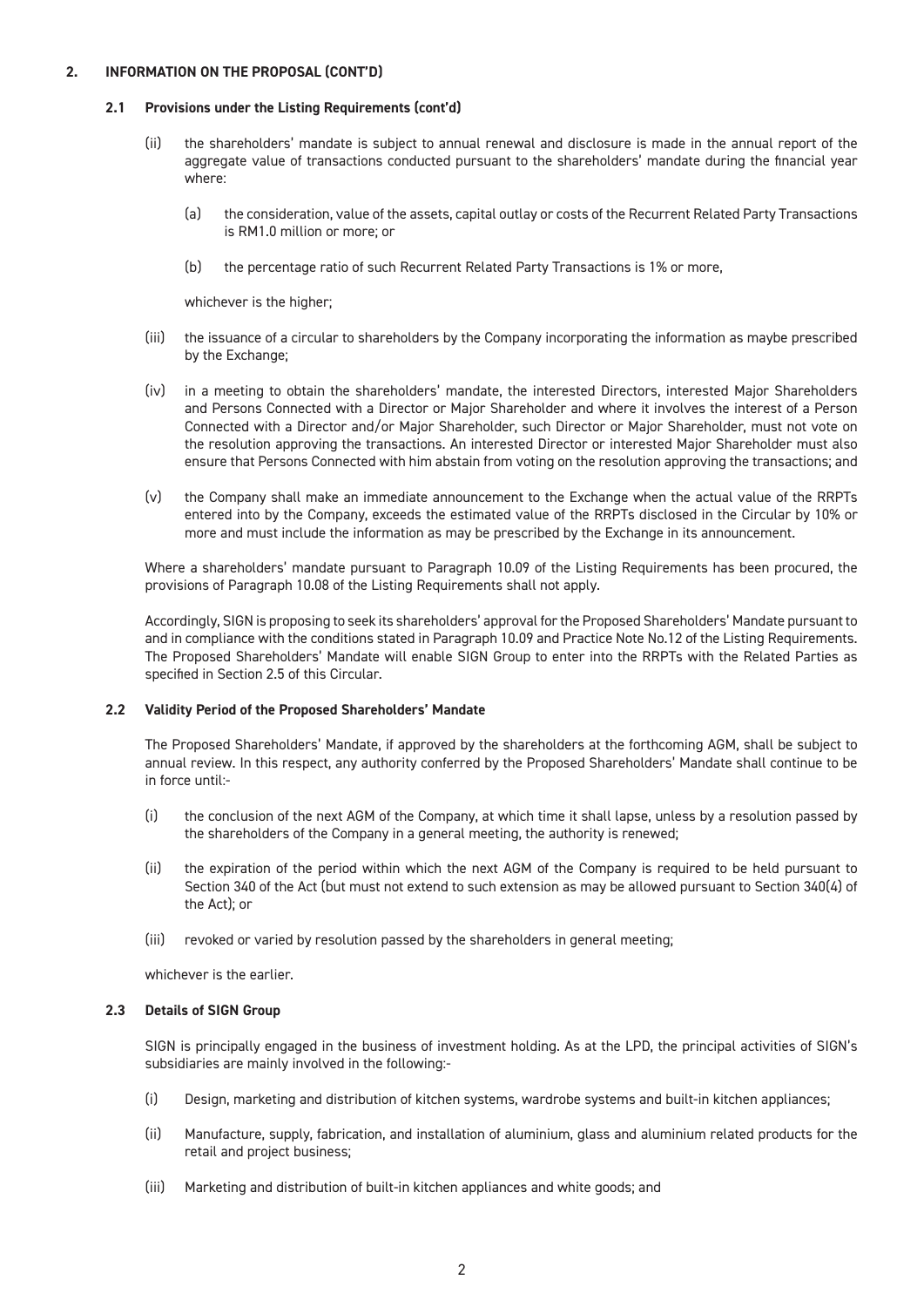#### **2.1 Provisions under the Listing Requirements (cont'd)**

- (ii) the shareholders' mandate is subject to annual renewal and disclosure is made in the annual report of the aggregate value of transactions conducted pursuant to the shareholders' mandate during the financial year where:
	- (a) the consideration, value of the assets, capital outlay or costs of the Recurrent Related Party Transactions is RM1.0 million or more; or
	- (b) the percentage ratio of such Recurrent Related Party Transactions is 1% or more,

whichever is the higher:

- (iii) the issuance of a circular to shareholders by the Company incorporating the information as maybe prescribed by the Exchange;
- (iv) in a meeting to obtain the shareholders' mandate, the interested Directors, interested Major Shareholders and Persons Connected with a Director or Major Shareholder and where it involves the interest of a Person Connected with a Director and/or Major Shareholder, such Director or Major Shareholder, must not vote on the resolution approving the transactions. An interested Director or interested Major Shareholder must also ensure that Persons Connected with him abstain from voting on the resolution approving the transactions; and
- (v) the Company shall make an immediate announcement to the Exchange when the actual value of the RRPTs entered into by the Company, exceeds the estimated value of the RRPTs disclosed in the Circular by 10% or more and must include the information as may be prescribed by the Exchange in its announcement.

Where a shareholders' mandate pursuant to Paragraph 10.09 of the Listing Requirements has been procured, the provisions of Paragraph 10.08 of the Listing Requirements shall not apply.

Accordingly, SIGN is proposing to seek its shareholders' approval for the Proposed Shareholders' Mandate pursuant to and in compliance with the conditions stated in Paragraph 10.09 and Practice Note No.12 of the Listing Requirements. The Proposed Shareholders' Mandate will enable SIGN Group to enter into the RRPTs with the Related Parties as specified in Section 2.5 of this Circular.

#### **2.2 Validity Period of the Proposed Shareholders' Mandate**

The Proposed Shareholders' Mandate, if approved by the shareholders at the forthcoming AGM, shall be subject to annual review. In this respect, any authority conferred by the Proposed Shareholders' Mandate shall continue to be in force until:-

- (i) the conclusion of the next AGM of the Company, at which time it shall lapse, unless by a resolution passed by the shareholders of the Company in a general meeting, the authority is renewed;
- (ii) the expiration of the period within which the next AGM of the Company is required to be held pursuant to Section 340 of the Act (but must not extend to such extension as may be allowed pursuant to Section 340(4) of the Act); or
- (iii) revoked or varied by resolution passed by the shareholders in general meeting;

whichever is the earlier.

#### **2.3 Details of SIGN Group**

SIGN is principally engaged in the business of investment holding. As at the LPD, the principal activities of SIGN's subsidiaries are mainly involved in the following:-

- (i) Design, marketing and distribution of kitchen systems, wardrobe systems and built-in kitchen appliances;
- (ii) Manufacture, supply, fabrication, and installation of aluminium, glass and aluminium related products for the retail and project business;
- (iii) Marketing and distribution of built-in kitchen appliances and white goods; and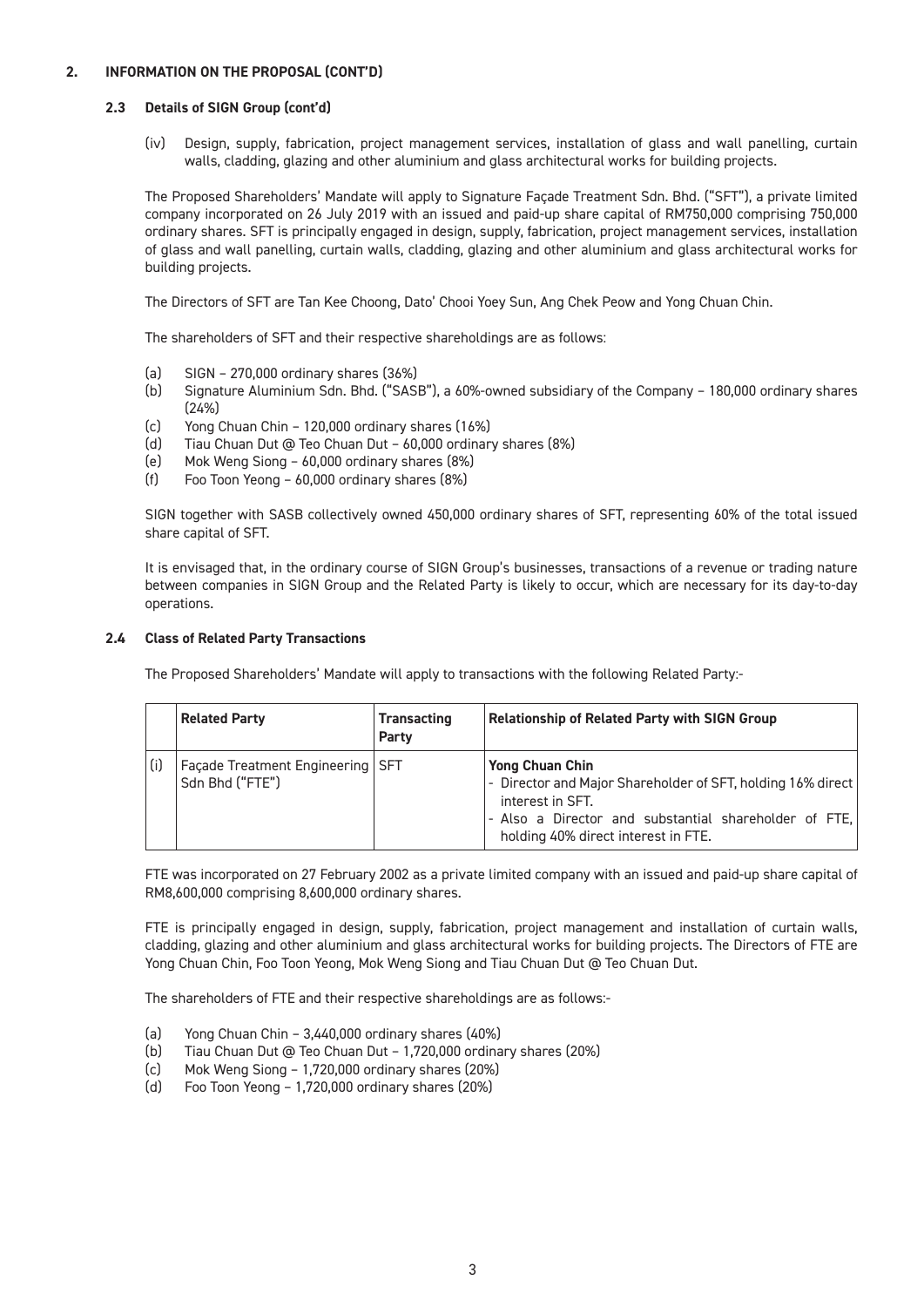#### **2.3 Details of SIGN Group (cont'd)**

(iv) Design, supply, fabrication, project management services, installation of glass and wall panelling, curtain walls, cladding, glazing and other aluminium and glass architectural works for building projects.

The Proposed Shareholders' Mandate will apply to Signature Façade Treatment Sdn. Bhd. ("SFT"), a private limited company incorporated on 26 July 2019 with an issued and paid-up share capital of RM750,000 comprising 750,000 ordinary shares. SFT is principally engaged in design, supply, fabrication, project management services, installation of glass and wall panelling, curtain walls, cladding, glazing and other aluminium and glass architectural works for building projects.

The Directors of SFT are Tan Kee Choong, Dato' Chooi Yoey Sun, Ang Chek Peow and Yong Chuan Chin.

The shareholders of SFT and their respective shareholdings are as follows:

- (a) SIGN 270,000 ordinary shares (36%)
- (b) Signature Aluminium Sdn. Bhd. ("SASB"), a 60%-owned subsidiary of the Company 180,000 ordinary shares (24%)
- (c) Yong Chuan Chin 120,000 ordinary shares (16%)
- (d) Tiau Chuan Dut @ Teo Chuan Dut 60,000 ordinary shares (8%)
- (e) Mok Weng Siong 60,000 ordinary shares (8%)
- (f) Foo Toon Yeong 60,000 ordinary shares (8%)

SIGN together with SASB collectively owned 450,000 ordinary shares of SFT, representing 60% of the total issued share capital of SFT.

It is envisaged that, in the ordinary course of SIGN Group's businesses, transactions of a revenue or trading nature between companies in SIGN Group and the Related Party is likely to occur, which are necessary for its day-to-day operations.

#### **2.4 Class of Related Party Transactions**

The Proposed Shareholders' Mandate will apply to transactions with the following Related Party:-

|     | <b>Related Party</b>                                    | <b>Transacting</b><br>Party | <b>Relationship of Related Party with SIGN Group</b>                                                                                                                                                      |
|-----|---------------------------------------------------------|-----------------------------|-----------------------------------------------------------------------------------------------------------------------------------------------------------------------------------------------------------|
| (i) | Façade Treatment Engineering   SFT<br>' Sdn Bhd ("FTE") |                             | <b>Yong Chuan Chin</b><br>- Director and Major Shareholder of SFT, holding 16% direct<br>interest in SFT.<br>- Also a Director and substantial shareholder of FTE,<br>holding 40% direct interest in FTE. |

FTE was incorporated on 27 February 2002 as a private limited company with an issued and paid-up share capital of RM8,600,000 comprising 8,600,000 ordinary shares.

FTE is principally engaged in design, supply, fabrication, project management and installation of curtain walls, cladding, glazing and other aluminium and glass architectural works for building projects. The Directors of FTE are Yong Chuan Chin, Foo Toon Yeong, Mok Weng Siong and Tiau Chuan Dut @ Teo Chuan Dut.

The shareholders of FTE and their respective shareholdings are as follows:-

- (a) Yong Chuan Chin 3,440,000 ordinary shares (40%)
- (b) Tiau Chuan Dut @ Teo Chuan Dut 1,720,000 ordinary shares (20%)
- (c) Mok Weng Siong 1,720,000 ordinary shares (20%)
- (d) Foo Toon Yeong 1,720,000 ordinary shares (20%)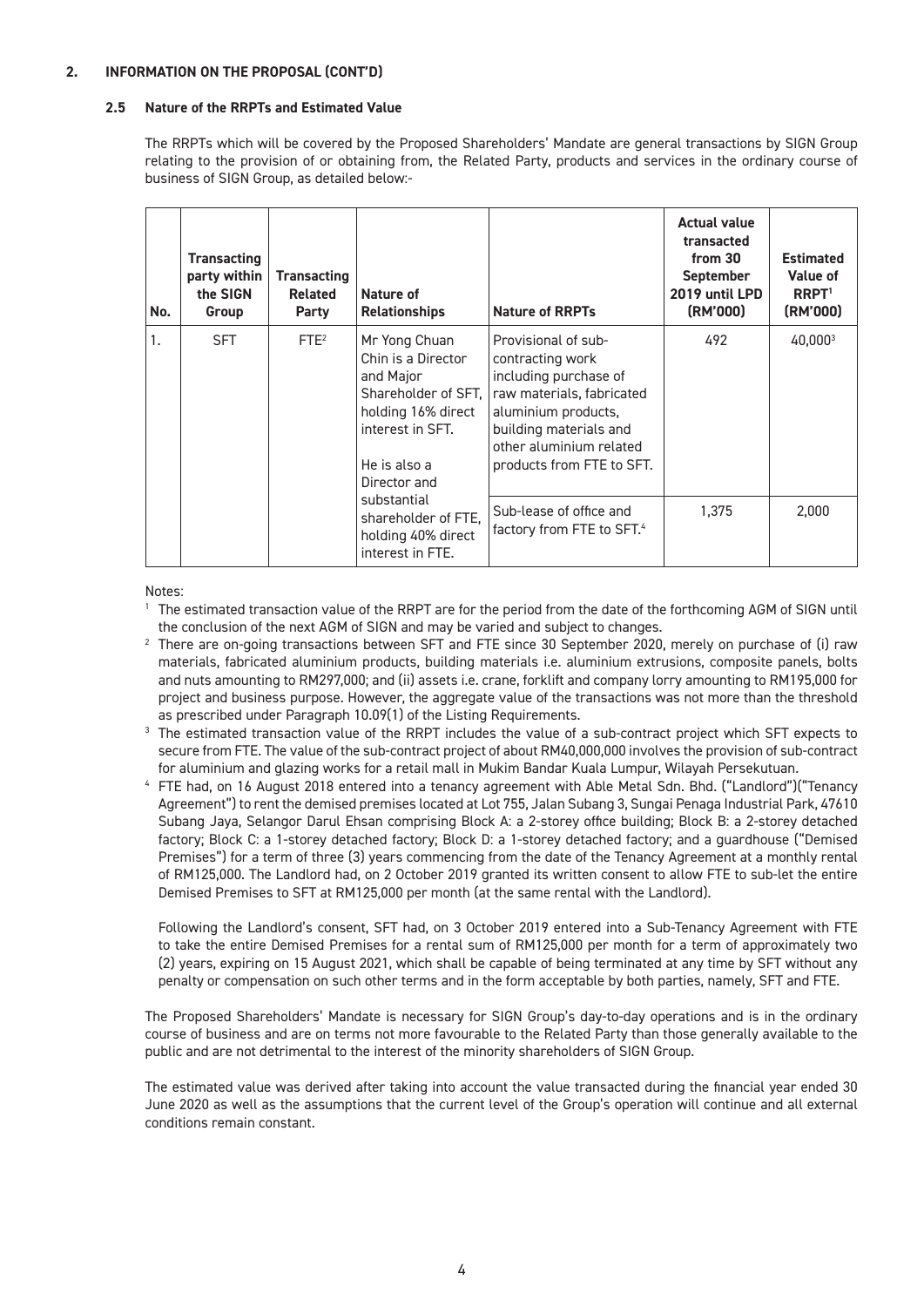#### **2.5 Nature of the RRPTs and Estimated Value**

The RRPTs which will be covered by the Proposed Shareholders' Mandate are general transactions by SIGN Group relating to the provision of or obtaining from, the Related Party, products and services in the ordinary course of business of SIGN Group, as detailed below:-

| No. | <b>Transacting</b><br>party within<br>the SIGN<br>Group | <b>Transacting</b><br>Related<br>Party | Nature of<br><b>Relationships</b>                                                                                                                 | <b>Nature of RRPTs</b>                                                                                                                                                                                 | <b>Actual value</b><br>transacted<br>from 30<br><b>September</b><br>2019 until LPD<br>(RM'000) | <b>Estimated</b><br>Value of<br>$R$ <sub>RPT</sub> $1$<br>(RM'000) |
|-----|---------------------------------------------------------|----------------------------------------|---------------------------------------------------------------------------------------------------------------------------------------------------|--------------------------------------------------------------------------------------------------------------------------------------------------------------------------------------------------------|------------------------------------------------------------------------------------------------|--------------------------------------------------------------------|
| 1.  | <b>SFT</b>                                              | FTE <sup>2</sup>                       | Mr Yong Chuan<br>Chin is a Director<br>and Major<br>Shareholder of SFT,<br>holding 16% direct<br>interest in SFT.<br>He is also a<br>Director and | Provisional of sub-<br>contracting work<br>including purchase of<br>raw materials, fabricated<br>aluminium products,<br>building materials and<br>other aluminium related<br>products from FTE to SFT. | 492                                                                                            | 40,0003                                                            |
|     |                                                         |                                        | substantial<br>shareholder of FTE.<br>holding 40% direct<br>interest in FTE.                                                                      | Sub-lease of office and<br>factory from FTE to SFT. <sup>4</sup>                                                                                                                                       | 1,375                                                                                          | 2,000                                                              |

Notes:

<sup>1</sup> The estimated transaction value of the RRPT are for the period from the date of the forthcoming AGM of SIGN until the conclusion of the next AGM of SIGN and may be varied and subject to changes.

- $2$  There are on-going transactions between SFT and FTE since 30 September 2020, merely on purchase of (i) raw materials, fabricated aluminium products, building materials i.e. aluminium extrusions, composite panels, bolts and nuts amounting to RM297,000; and (ii) assets i.e. crane, forklift and company lorry amounting to RM195,000 for project and business purpose. However, the aggregate value of the transactions was not more than the threshold as prescribed under Paragraph 10.09(1) of the Listing Requirements.
- <sup>3</sup> The estimated transaction value of the RRPT includes the value of a sub-contract project which SFT expects to secure from FTE. The value of the sub-contract project of about RM40,000,000 involves the provision of sub-contract
- for aluminium and glazing works for a retail mall in Mukim Bandar Kuala Lumpur, Wilayah Persekutuan. 4 FTE had, on 16 August 2018 entered into a tenancy agreement with Able Metal Sdn. Bhd. ("Landlord")("Tenancy Agreement") to rent the demised premises located at Lot 755, Jalan Subang 3, Sungai Penaga Industrial Park, 47610 Subang Jaya, Selangor Darul Ehsan comprising Block A: a 2-storey office building; Block B: a 2-storey detached factory; Block C: a 1-storey detached factory; Block D: a 1-storey detached factory; and a guardhouse ("Demised Premises") for a term of three (3) years commencing from the date of the Tenancy Agreement at a monthly rental of RM125,000. The Landlord had, on 2 October 2019 granted its written consent to allow FTE to sub-let the entire Demised Premises to SFT at RM125,000 per month (at the same rental with the Landlord).

Following the Landlord's consent, SFT had, on 3 October 2019 entered into a Sub-Tenancy Agreement with FTE to take the entire Demised Premises for a rental sum of RM125,000 per month for a term of approximately two (2) years, expiring on 15 August 2021, which shall be capable of being terminated at any time by SFT without any penalty or compensation on such other terms and in the form acceptable by both parties, namely, SFT and FTE.

The Proposed Shareholders' Mandate is necessary for SIGN Group's day-to-day operations and is in the ordinary course of business and are on terms not more favourable to the Related Party than those generally available to the public and are not detrimental to the interest of the minority shareholders of SIGN Group.

The estimated value was derived after taking into account the value transacted during the financial year ended 30 June 2020 as well as the assumptions that the current level of the Group's operation will continue and all external conditions remain constant.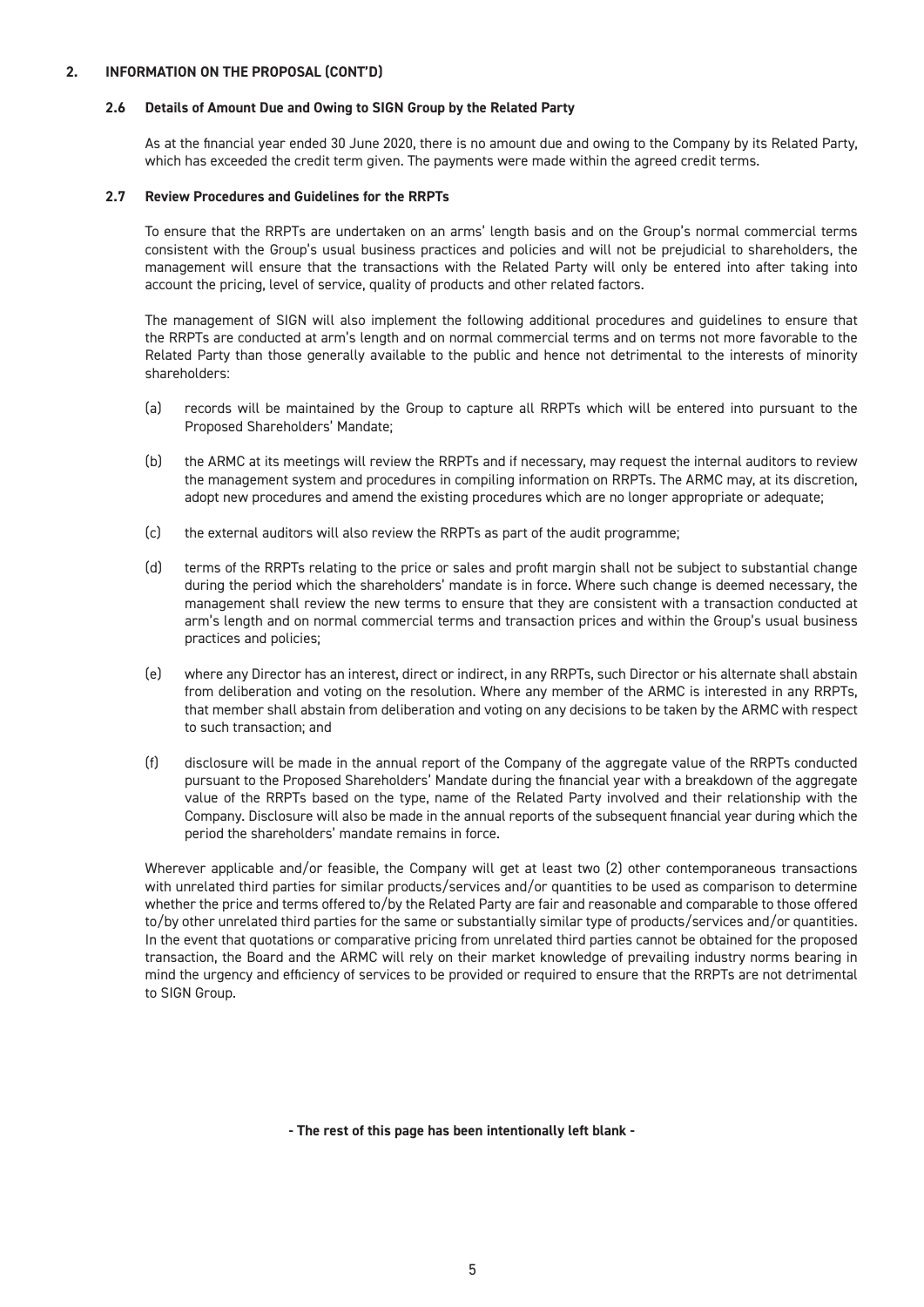#### **2.6 Details of Amount Due and Owing to SIGN Group by the Related Party**

As at the financial year ended 30 June 2020, there is no amount due and owing to the Company by its Related Party, which has exceeded the credit term given. The payments were made within the agreed credit terms.

#### **2.7 Review Procedures and Guidelines for the RRPTs**

To ensure that the RRPTs are undertaken on an arms' length basis and on the Group's normal commercial terms consistent with the Group's usual business practices and policies and will not be prejudicial to shareholders, the management will ensure that the transactions with the Related Party will only be entered into after taking into account the pricing, level of service, quality of products and other related factors.

The management of SIGN will also implement the following additional procedures and guidelines to ensure that the RRPTs are conducted at arm's length and on normal commercial terms and on terms not more favorable to the Related Party than those generally available to the public and hence not detrimental to the interests of minority shareholders:

- (a) records will be maintained by the Group to capture all RRPTs which will be entered into pursuant to the Proposed Shareholders' Mandate;
- (b) the ARMC at its meetings will review the RRPTs and if necessary, may request the internal auditors to review the management system and procedures in compiling information on RRPTs. The ARMC may, at its discretion, adopt new procedures and amend the existing procedures which are no longer appropriate or adequate;
- (c) the external auditors will also review the RRPTs as part of the audit programme;
- (d) terms of the RRPTs relating to the price or sales and profit margin shall not be subject to substantial change during the period which the shareholders' mandate is in force. Where such change is deemed necessary, the management shall review the new terms to ensure that they are consistent with a transaction conducted at arm's length and on normal commercial terms and transaction prices and within the Group's usual business practices and policies;
- (e) where any Director has an interest, direct or indirect, in any RRPTs, such Director or his alternate shall abstain from deliberation and voting on the resolution. Where any member of the ARMC is interested in any RRPTs, that member shall abstain from deliberation and voting on any decisions to be taken by the ARMC with respect to such transaction; and
- (f) disclosure will be made in the annual report of the Company of the aggregate value of the RRPTs conducted pursuant to the Proposed Shareholders' Mandate during the financial year with a breakdown of the aggregate value of the RRPTs based on the type, name of the Related Party involved and their relationship with the Company. Disclosure will also be made in the annual reports of the subsequent financial year during which the period the shareholders' mandate remains in force.

Wherever applicable and/or feasible, the Company will get at least two (2) other contemporaneous transactions with unrelated third parties for similar products/services and/or quantities to be used as comparison to determine whether the price and terms offered to/by the Related Party are fair and reasonable and comparable to those offered to/by other unrelated third parties for the same or substantially similar type of products/services and/or quantities. In the event that quotations or comparative pricing from unrelated third parties cannot be obtained for the proposed transaction, the Board and the ARMC will rely on their market knowledge of prevailing industry norms bearing in mind the urgency and efficiency of services to be provided or required to ensure that the RRPTs are not detrimental to SIGN Group.

**- The rest of this page has been intentionally left blank -**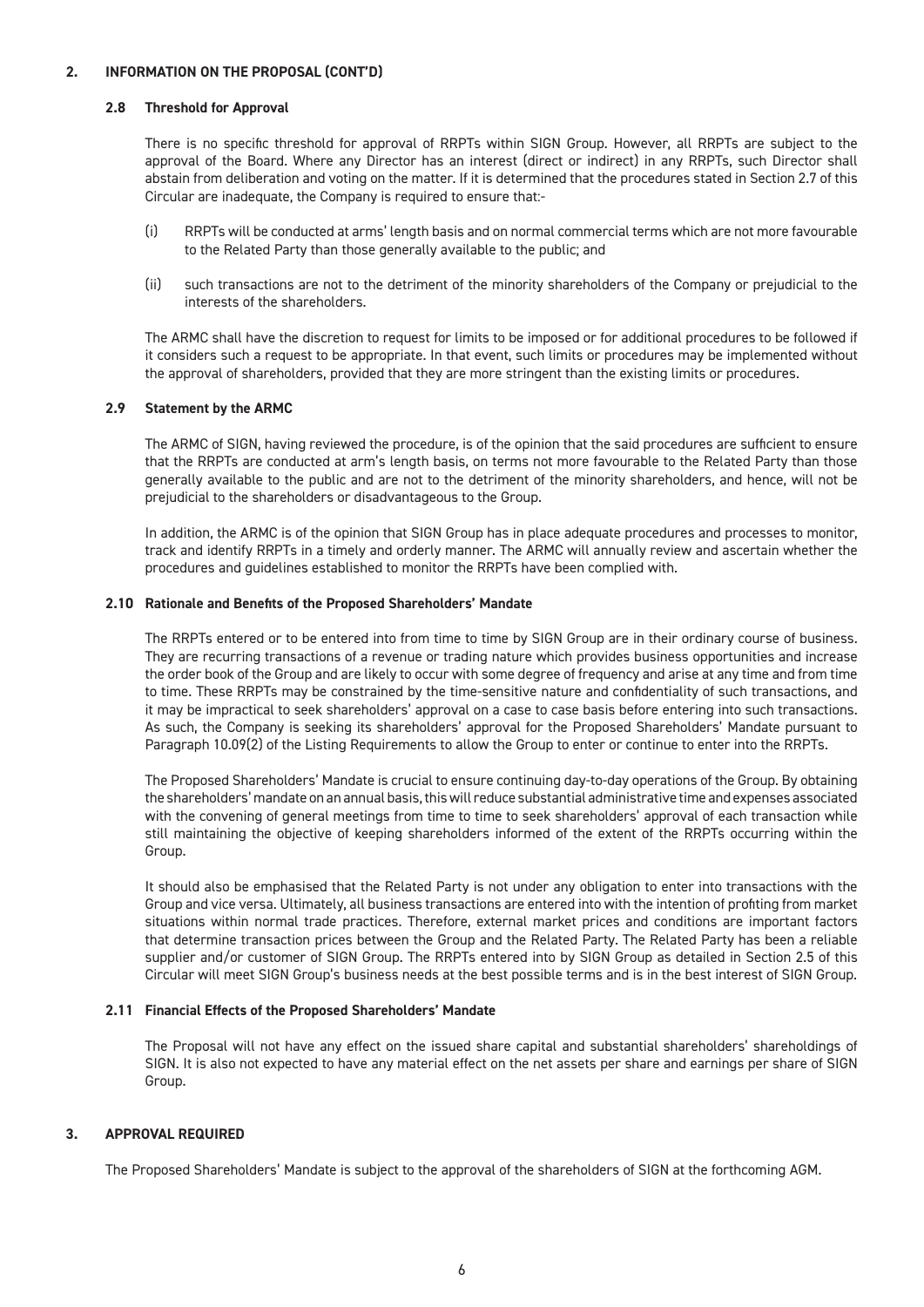#### **2.8 Threshold for Approval**

There is no specific threshold for approval of RRPTs within SIGN Group. However, all RRPTs are subject to the approval of the Board. Where any Director has an interest (direct or indirect) in any RRPTs, such Director shall abstain from deliberation and voting on the matter. If it is determined that the procedures stated in Section 2.7 of this Circular are inadequate, the Company is required to ensure that:-

- (i) RRPTs will be conducted at arms' length basis and on normal commercial terms which are not more favourable to the Related Party than those generally available to the public; and
- (ii) such transactions are not to the detriment of the minority shareholders of the Company or prejudicial to the interests of the shareholders.

The ARMC shall have the discretion to request for limits to be imposed or for additional procedures to be followed if it considers such a request to be appropriate. In that event, such limits or procedures may be implemented without the approval of shareholders, provided that they are more stringent than the existing limits or procedures.

#### **2.9 Statement by the ARMC**

The ARMC of SIGN, having reviewed the procedure, is of the opinion that the said procedures are sufficient to ensure that the RRPTs are conducted at arm's length basis, on terms not more favourable to the Related Party than those generally available to the public and are not to the detriment of the minority shareholders, and hence, will not be prejudicial to the shareholders or disadvantageous to the Group.

In addition, the ARMC is of the opinion that SIGN Group has in place adequate procedures and processes to monitor, track and identify RRPTs in a timely and orderly manner. The ARMC will annually review and ascertain whether the procedures and guidelines established to monitor the RRPTs have been complied with.

#### **2.10 Rationale and Benefits of the Proposed Shareholders' Mandate**

The RRPTs entered or to be entered into from time to time by SIGN Group are in their ordinary course of business. They are recurring transactions of a revenue or trading nature which provides business opportunities and increase the order book of the Group and are likely to occur with some degree of frequency and arise at any time and from time to time. These RRPTs may be constrained by the time-sensitive nature and confidentiality of such transactions, and it may be impractical to seek shareholders' approval on a case to case basis before entering into such transactions. As such, the Company is seeking its shareholders' approval for the Proposed Shareholders' Mandate pursuant to Paragraph 10.09(2) of the Listing Requirements to allow the Group to enter or continue to enter into the RRPTs.

The Proposed Shareholders' Mandate is crucial to ensure continuing day-to-day operations of the Group. By obtaining the shareholders' mandate on an annual basis, this will reduce substantial administrative time and expenses associated with the convening of general meetings from time to time to seek shareholders' approval of each transaction while still maintaining the objective of keeping shareholders informed of the extent of the RRPTs occurring within the Group.

It should also be emphasised that the Related Party is not under any obligation to enter into transactions with the Group and vice versa. Ultimately, all business transactions are entered into with the intention of profiting from market situations within normal trade practices. Therefore, external market prices and conditions are important factors that determine transaction prices between the Group and the Related Party. The Related Party has been a reliable supplier and/or customer of SIGN Group. The RRPTs entered into by SIGN Group as detailed in Section 2.5 of this Circular will meet SIGN Group's business needs at the best possible terms and is in the best interest of SIGN Group.

#### **2.11 Financial Effects of the Proposed Shareholders' Mandate**

The Proposal will not have any effect on the issued share capital and substantial shareholders' shareholdings of SIGN. It is also not expected to have any material effect on the net assets per share and earnings per share of SIGN Group.

#### **3. APPROVAL REQUIRED**

The Proposed Shareholders' Mandate is subject to the approval of the shareholders of SIGN at the forthcoming AGM.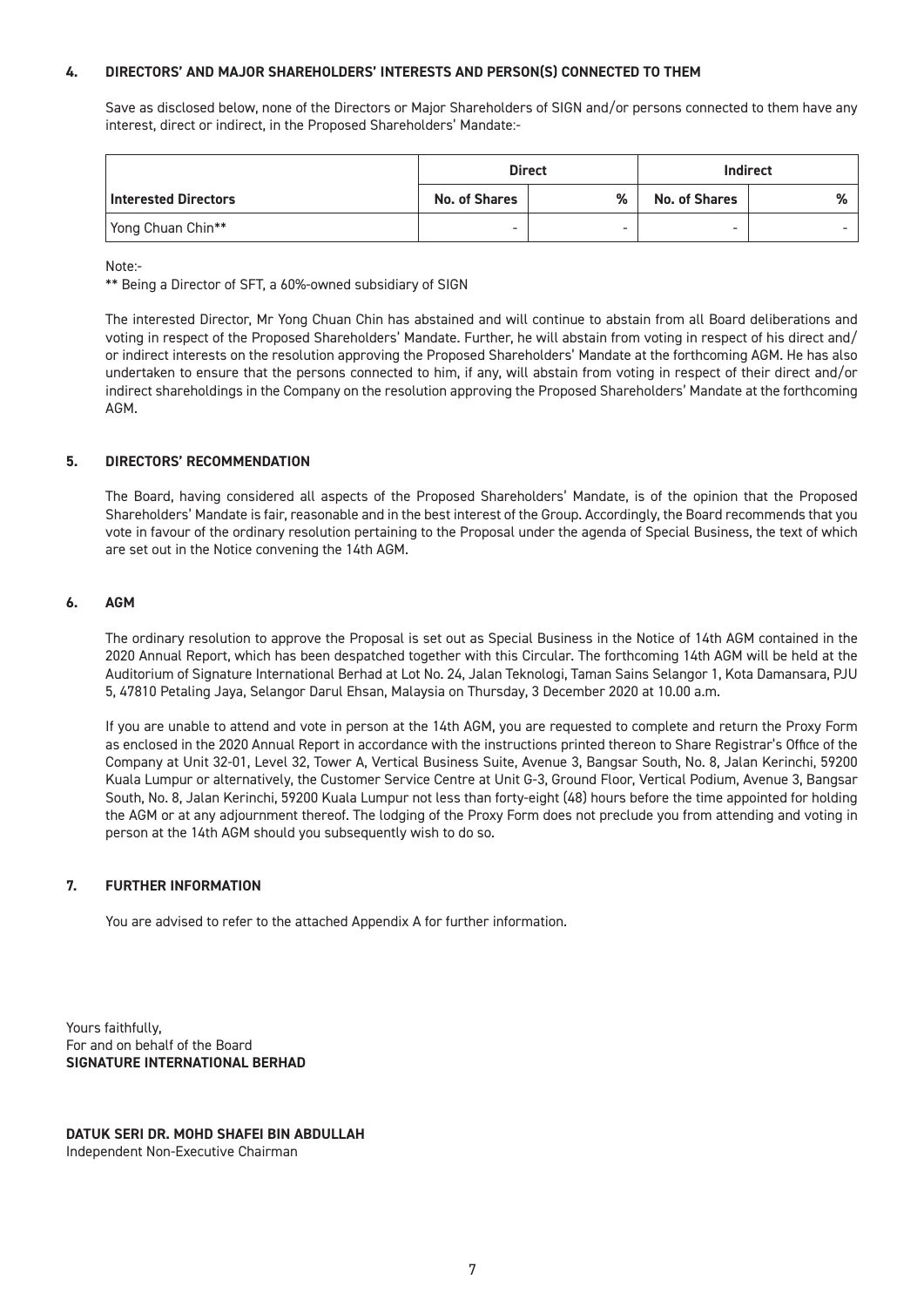#### **4. DIRECTORS' AND MAJOR SHAREHOLDERS' INTERESTS AND PERSON(S) CONNECTED TO THEM**

Save as disclosed below, none of the Directors or Major Shareholders of SIGN and/or persons connected to them have any interest, direct or indirect, in the Proposed Shareholders' Mandate:-

|                             |                          | <b>Direct</b>            |                          | <b>Indirect</b> |
|-----------------------------|--------------------------|--------------------------|--------------------------|-----------------|
| <b>Interested Directors</b> | <b>No. of Shares</b>     | %                        | <b>No. of Shares</b>     | %               |
| Yong Chuan Chin**           | $\overline{\phantom{a}}$ | $\overline{\phantom{0}}$ | $\overline{\phantom{a}}$ |                 |

Note:-

\*\* Being a Director of SFT, a 60%-owned subsidiary of SIGN

The interested Director, Mr Yong Chuan Chin has abstained and will continue to abstain from all Board deliberations and voting in respect of the Proposed Shareholders' Mandate. Further, he will abstain from voting in respect of his direct and/ or indirect interests on the resolution approving the Proposed Shareholders' Mandate at the forthcoming AGM. He has also undertaken to ensure that the persons connected to him, if any, will abstain from voting in respect of their direct and/or indirect shareholdings in the Company on the resolution approving the Proposed Shareholders' Mandate at the forthcoming AGM.

#### **5. DIRECTORS' RECOMMENDATION**

The Board, having considered all aspects of the Proposed Shareholders' Mandate, is of the opinion that the Proposed Shareholders' Mandate is fair, reasonable and in the best interest of the Group. Accordingly, the Board recommends that you vote in favour of the ordinary resolution pertaining to the Proposal under the agenda of Special Business, the text of which are set out in the Notice convening the 14th AGM.

#### **6. AGM**

The ordinary resolution to approve the Proposal is set out as Special Business in the Notice of 14th AGM contained in the 2020 Annual Report, which has been despatched together with this Circular. The forthcoming 14th AGM will be held at the Auditorium of Signature International Berhad at Lot No. 24, Jalan Teknologi, Taman Sains Selangor 1, Kota Damansara, PJU 5, 47810 Petaling Jaya, Selangor Darul Ehsan, Malaysia on Thursday, 3 December 2020 at 10.00 a.m.

If you are unable to attend and vote in person at the 14th AGM, you are requested to complete and return the Proxy Form as enclosed in the 2020 Annual Report in accordance with the instructions printed thereon to Share Registrar's Office of the Company at Unit 32-01, Level 32, Tower A, Vertical Business Suite, Avenue 3, Bangsar South, No. 8, Jalan Kerinchi, 59200 Kuala Lumpur or alternatively, the Customer Service Centre at Unit G-3, Ground Floor, Vertical Podium, Avenue 3, Bangsar South, No. 8, Jalan Kerinchi, 59200 Kuala Lumpur not less than forty-eight (48) hours before the time appointed for holding the AGM or at any adjournment thereof. The lodging of the Proxy Form does not preclude you from attending and voting in person at the 14th AGM should you subsequently wish to do so.

#### **7. FURTHER INFORMATION**

You are advised to refer to the attached Appendix A for further information.

Yours faithfully, For and on behalf of the Board **SIGNATURE INTERNATIONAL BERHAD**

**DATUK SERI DR. MOHD SHAFEI BIN ABDULLAH** Independent Non-Executive Chairman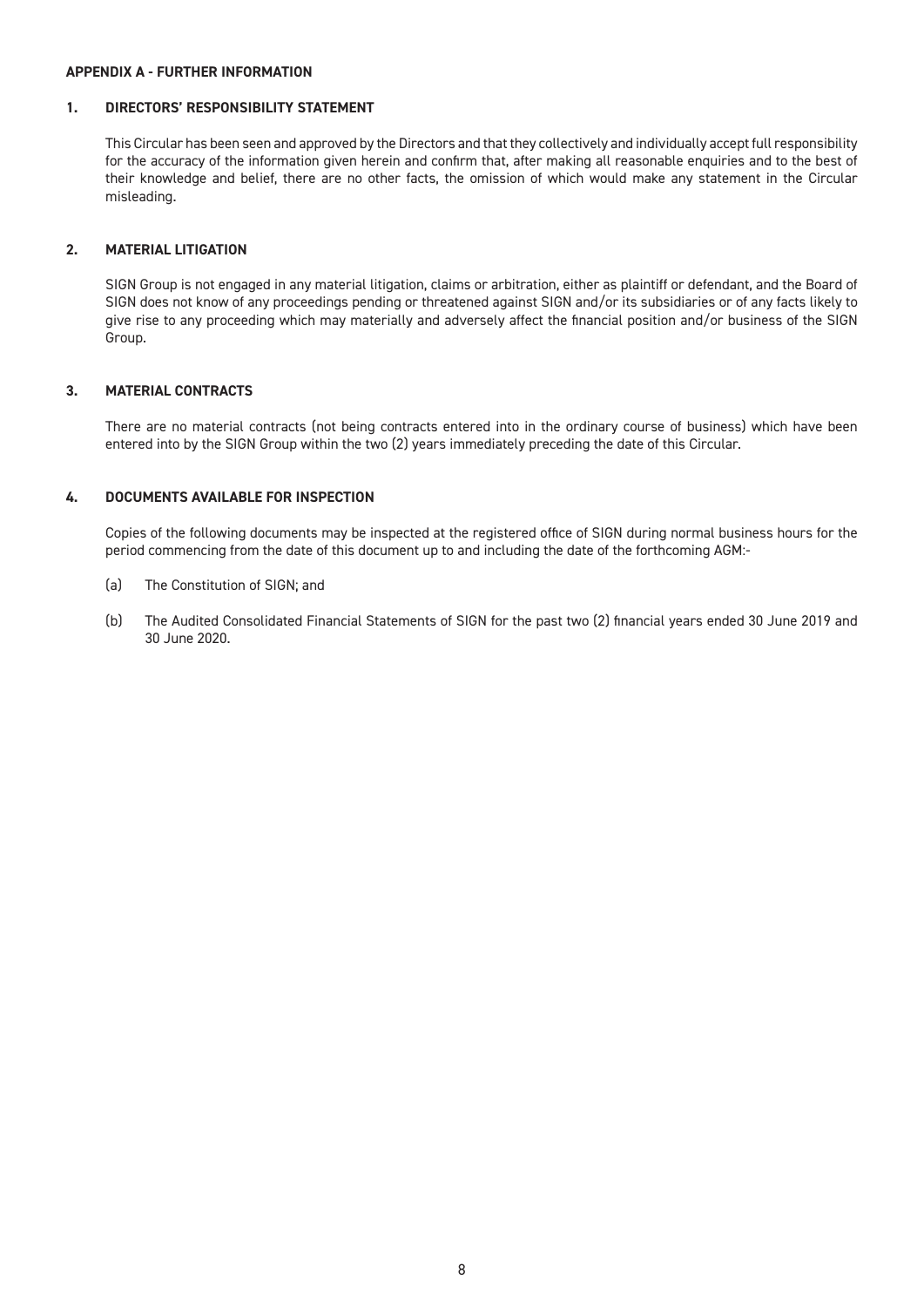#### **APPENDIX A - FURTHER INFORMATION**

#### **1. DIRECTORS' RESPONSIBILITY STATEMENT**

This Circular has been seen and approved by the Directors and that they collectively and individually accept full responsibility for the accuracy of the information given herein and confirm that, after making all reasonable enquiries and to the best of their knowledge and belief, there are no other facts, the omission of which would make any statement in the Circular misleading.

#### **2. MATERIAL LITIGATION**

SIGN Group is not engaged in any material litigation, claims or arbitration, either as plaintiff or defendant, and the Board of SIGN does not know of any proceedings pending or threatened against SIGN and/or its subsidiaries or of any facts likely to give rise to any proceeding which may materially and adversely affect the financial position and/or business of the SIGN Group.

#### **3. MATERIAL CONTRACTS**

There are no material contracts (not being contracts entered into in the ordinary course of business) which have been entered into by the SIGN Group within the two (2) years immediately preceding the date of this Circular.

#### **4. DOCUMENTS AVAILABLE FOR INSPECTION**

Copies of the following documents may be inspected at the registered office of SIGN during normal business hours for the period commencing from the date of this document up to and including the date of the forthcoming AGM:-

- (a) The Constitution of SIGN; and
- (b) The Audited Consolidated Financial Statements of SIGN for the past two (2) financial years ended 30 June 2019 and 30 June 2020.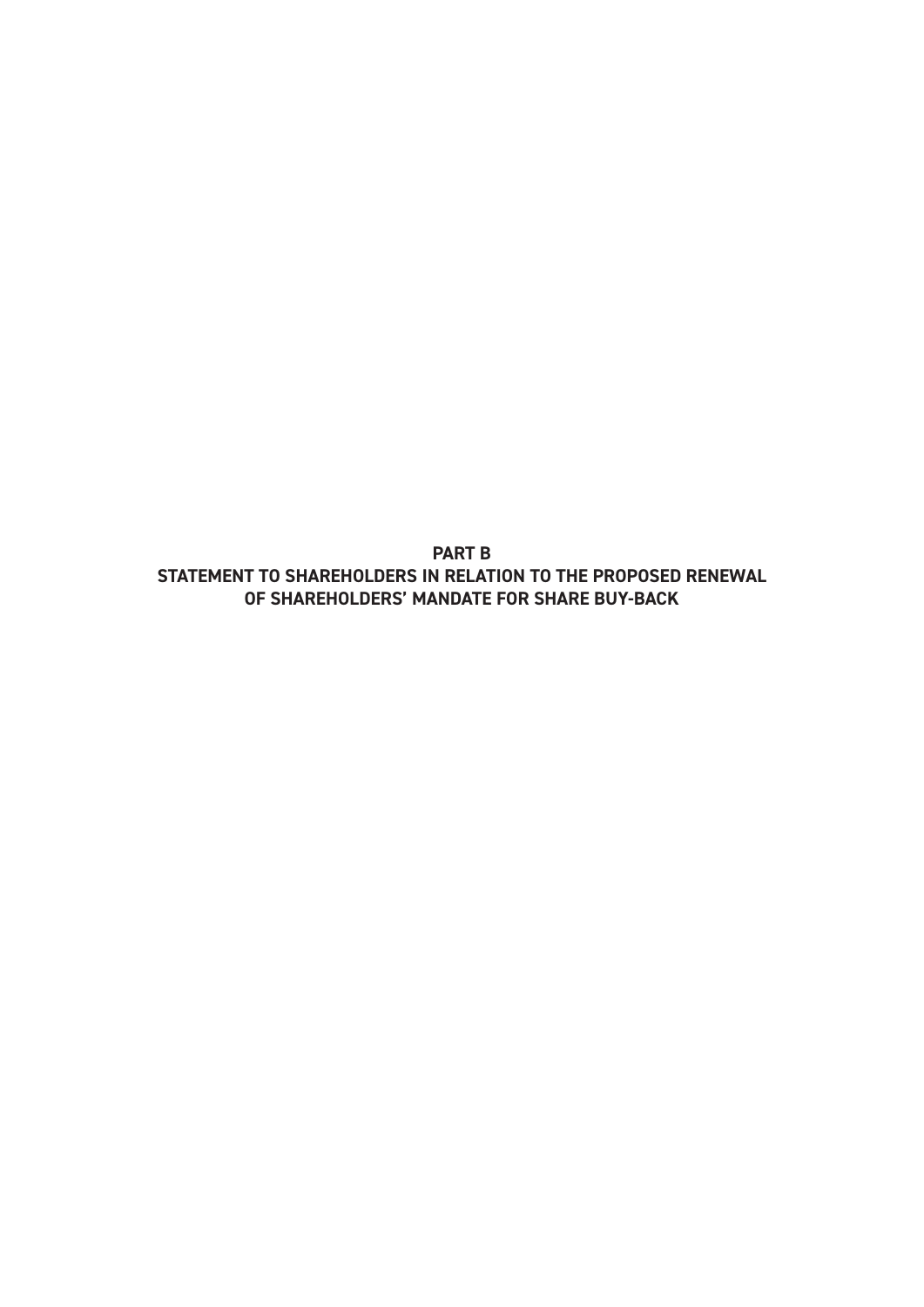**PART B STATEMENT TO SHAREHOLDERS IN RELATION TO THE PROPOSED RENEWAL OF SHAREHOLDERS' MANDATE FOR SHARE BUY-BACK**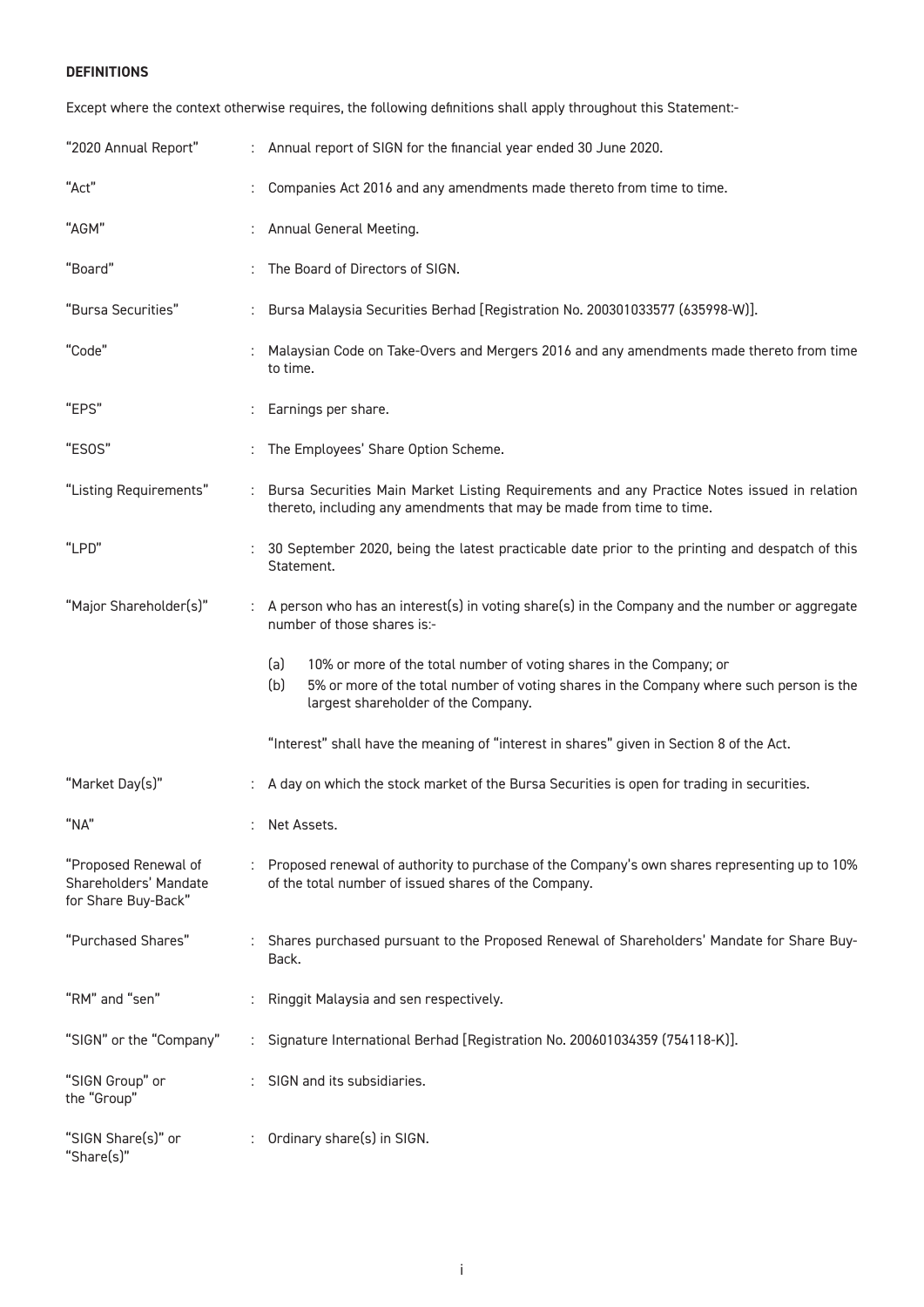#### **DEFINITIONS**

Except where the context otherwise requires, the following definitions shall apply throughout this Statement:-

| "2020 Annual Report"                                                 | : Annual report of SIGN for the financial year ended 30 June 2020.                                                                                                                                                  |
|----------------------------------------------------------------------|---------------------------------------------------------------------------------------------------------------------------------------------------------------------------------------------------------------------|
| "Act"                                                                | Companies Act 2016 and any amendments made thereto from time to time.                                                                                                                                               |
| "AGM"                                                                | Annual General Meeting.                                                                                                                                                                                             |
| "Board"                                                              | The Board of Directors of SIGN.                                                                                                                                                                                     |
| "Bursa Securities"                                                   | : Bursa Malaysia Securities Berhad [Registration No. 200301033577 (635998-W)].                                                                                                                                      |
| "Code"                                                               | Malaysian Code on Take-Overs and Mergers 2016 and any amendments made thereto from time<br>to time.                                                                                                                 |
| "EPS"                                                                | Earnings per share.                                                                                                                                                                                                 |
| "ESOS"                                                               | The Employees' Share Option Scheme.                                                                                                                                                                                 |
| "Listing Requirements"                                               | : Bursa Securities Main Market Listing Requirements and any Practice Notes issued in relation<br>thereto, including any amendments that may be made from time to time.                                              |
| "LPD"                                                                | 30 September 2020, being the latest practicable date prior to the printing and despatch of this<br>Statement.                                                                                                       |
| "Major Shareholder(s)"                                               | A person who has an interest(s) in voting share(s) in the Company and the number or aggregate<br>number of those shares is:-                                                                                        |
|                                                                      | (a)<br>10% or more of the total number of voting shares in the Company; or<br>(b)<br>5% or more of the total number of voting shares in the Company where such person is the<br>largest shareholder of the Company. |
|                                                                      | "Interest" shall have the meaning of "interest in shares" given in Section 8 of the Act.                                                                                                                            |
| "Market Day(s)"                                                      | A day on which the stock market of the Bursa Securities is open for trading in securities.                                                                                                                          |
| "NA"                                                                 | : Net Assets.                                                                                                                                                                                                       |
| "Proposed Renewal of<br>Shareholders' Mandate<br>for Share Buy-Back" | : Proposed renewal of authority to purchase of the Company's own shares representing up to 10%<br>of the total number of issued shares of the Company.                                                              |
| "Purchased Shares"                                                   | : Shares purchased pursuant to the Proposed Renewal of Shareholders' Mandate for Share Buy-<br>Back.                                                                                                                |
| "RM" and "sen"                                                       | Ringgit Malaysia and sen respectively.                                                                                                                                                                              |
| "SIGN" or the "Company"                                              | Signature International Berhad [Registration No. 200601034359 (754118-K)].                                                                                                                                          |
| "SIGN Group" or<br>the "Group"                                       | SIGN and its subsidiaries.                                                                                                                                                                                          |
| "SIGN Share(s)" or<br>"Share(s)"                                     | Ordinary share(s) in SIGN.                                                                                                                                                                                          |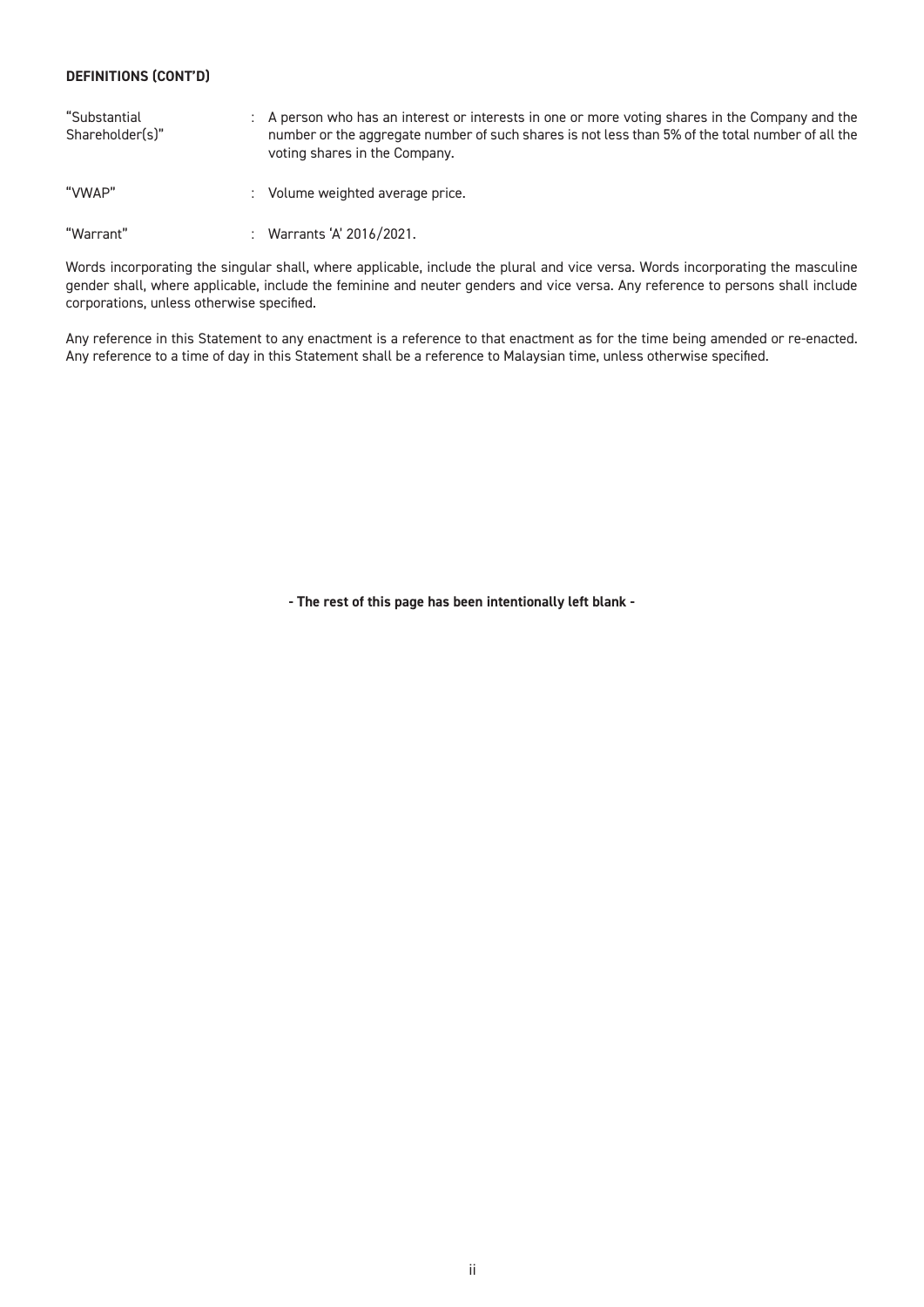#### **DEFINITIONS (CONT'D)**

| "Substantial<br>Shareholder(s)" | : A person who has an interest or interests in one or more voting shares in the Company and the<br>number or the aggregate number of such shares is not less than 5% of the total number of all the<br>voting shares in the Company. |
|---------------------------------|--------------------------------------------------------------------------------------------------------------------------------------------------------------------------------------------------------------------------------------|
| "VWAP"                          | : Volume weighted average price.                                                                                                                                                                                                     |
| "Warrant"                       | : Warrants 'A' 2016/2021.                                                                                                                                                                                                            |

Words incorporating the singular shall, where applicable, include the plural and vice versa. Words incorporating the masculine gender shall, where applicable, include the feminine and neuter genders and vice versa. Any reference to persons shall include corporations, unless otherwise specified.

Any reference in this Statement to any enactment is a reference to that enactment as for the time being amended or re-enacted. Any reference to a time of day in this Statement shall be a reference to Malaysian time, unless otherwise specified.

**- The rest of this page has been intentionally left blank -**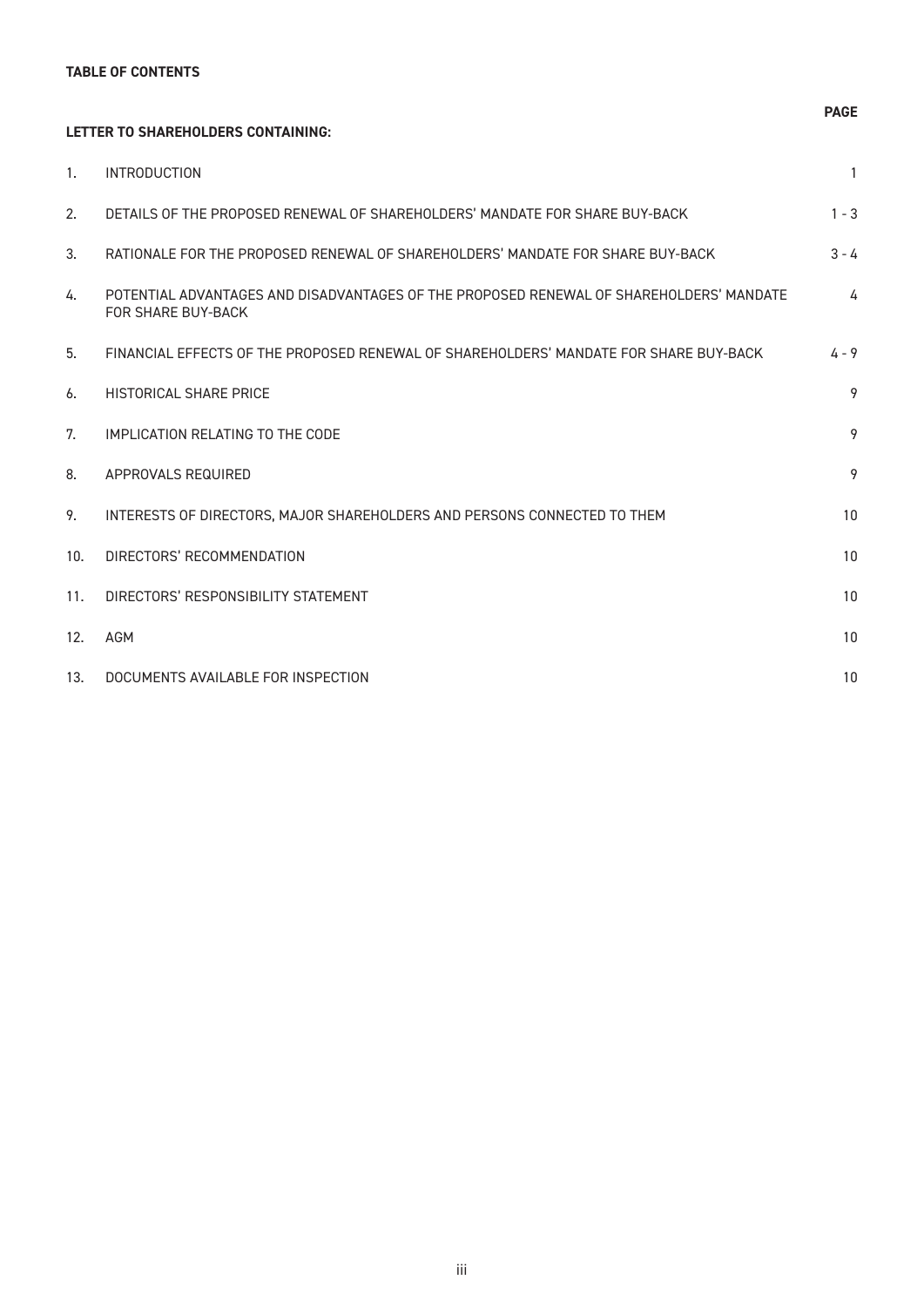#### **TABLE OF CONTENTS**

#### **LETTER TO SHAREHOLDERS CONTAINING:**

| 1.  | <b>INTRODUCTION</b>                                                                                           | $\mathbf{1}$ |
|-----|---------------------------------------------------------------------------------------------------------------|--------------|
| 2.  | DETAILS OF THE PROPOSED RENEWAL OF SHAREHOLDERS' MANDATE FOR SHARE BUY-BACK                                   | $1 - 3$      |
| 3.  | RATIONALE FOR THE PROPOSED RENEWAL OF SHAREHOLDERS' MANDATE FOR SHARE BUY-BACK                                | $3 - 4$      |
| 4.  | POTENTIAL ADVANTAGES AND DISADVANTAGES OF THE PROPOSED RENEWAL OF SHAREHOLDERS' MANDATE<br>FOR SHARF BUY-BACK | 4            |
| 5.  | FINANCIAL EFFECTS OF THE PROPOSED RENEWAL OF SHAREHOLDERS' MANDATE FOR SHARE BUY-BACK                         | $4 - 9$      |
| 6.  | HISTORICAL SHARE PRICE                                                                                        | 9            |
| 7.  | IMPLICATION RELATING TO THE CODE                                                                              | 9            |
| 8.  | APPROVALS REQUIRED                                                                                            | 9            |
| 9.  | INTERESTS OF DIRECTORS, MAJOR SHAREHOLDERS AND PERSONS CONNECTED TO THEM                                      | 10           |
| 10. | DIRECTORS' RECOMMENDATION                                                                                     | 10           |
| 11. | DIRECTORS' RESPONSIBILITY STATEMENT                                                                           | 10           |
| 12. | <b>AGM</b>                                                                                                    | 10           |
| 13. | DOCUMENTS AVAILABLE FOR INSPECTION                                                                            | 10           |

#### **PAGE**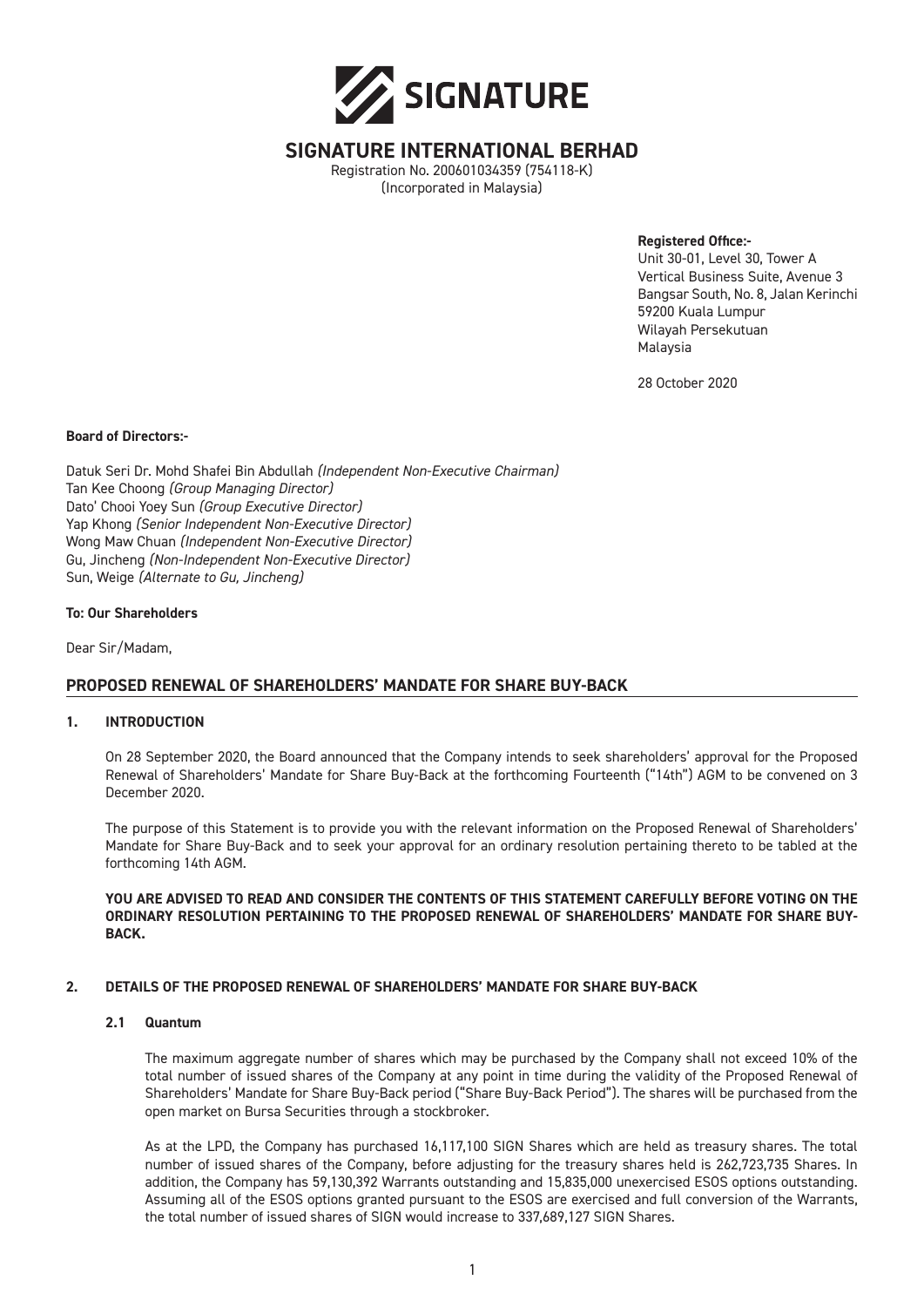

#### **SIGNATURE INTERNATIONAL BERHAD**

Registration No. 200601034359 (754118-K) (Incorporated in Malaysia)

**Registered Office:-**

Unit 30-01, Level 30, Tower A Vertical Business Suite, Avenue 3 Bangsar South, No. 8, Jalan Kerinchi 59200 Kuala Lumpur Wilayah Persekutuan Malaysia

28 October 2020

#### **Board of Directors:-**

Datuk Seri Dr. Mohd Shafei Bin Abdullah *(Independent Non-Executive Chairman)* Tan Kee Choong *(Group Managing Director)* Dato' Chooi Yoey Sun *(Group Executive Director)* Yap Khong *(Senior Independent Non-Executive Director)* Wong Maw Chuan *(Independent Non-Executive Director)* Gu, Jincheng *(Non-Independent Non-Executive Director)* Sun, Weige *(Alternate to Gu, Jincheng)*

#### **To: Our Shareholders**

Dear Sir/Madam,

#### **PROPOSED RENEWAL OF SHAREHOLDERS' MANDATE FOR SHARE BUY-BACK**

#### **1. INTRODUCTION**

On 28 September 2020, the Board announced that the Company intends to seek shareholders' approval for the Proposed Renewal of Shareholders' Mandate for Share Buy-Back at the forthcoming Fourteenth ("14th") AGM to be convened on 3 December 2020.

The purpose of this Statement is to provide you with the relevant information on the Proposed Renewal of Shareholders' Mandate for Share Buy-Back and to seek your approval for an ordinary resolution pertaining thereto to be tabled at the forthcoming 14th AGM.

#### **YOU ARE ADVISED TO READ AND CONSIDER THE CONTENTS OF THIS STATEMENT CAREFULLY BEFORE VOTING ON THE ORDINARY RESOLUTION PERTAINING TO THE PROPOSED RENEWAL OF SHAREHOLDERS' MANDATE FOR SHARE BUY-BACK.**

#### **2. DETAILS OF THE PROPOSED RENEWAL OF SHAREHOLDERS' MANDATE FOR SHARE BUY-BACK**

#### **2.1 Quantum**

The maximum aggregate number of shares which may be purchased by the Company shall not exceed 10% of the total number of issued shares of the Company at any point in time during the validity of the Proposed Renewal of Shareholders' Mandate for Share Buy-Back period ("Share Buy-Back Period"). The shares will be purchased from the open market on Bursa Securities through a stockbroker.

As at the LPD, the Company has purchased 16,117,100 SIGN Shares which are held as treasury shares. The total number of issued shares of the Company, before adjusting for the treasury shares held is 262,723,735 Shares. In addition, the Company has 59,130,392 Warrants outstanding and 15,835,000 unexercised ESOS options outstanding. Assuming all of the ESOS options granted pursuant to the ESOS are exercised and full conversion of the Warrants, the total number of issued shares of SIGN would increase to 337,689,127 SIGN Shares.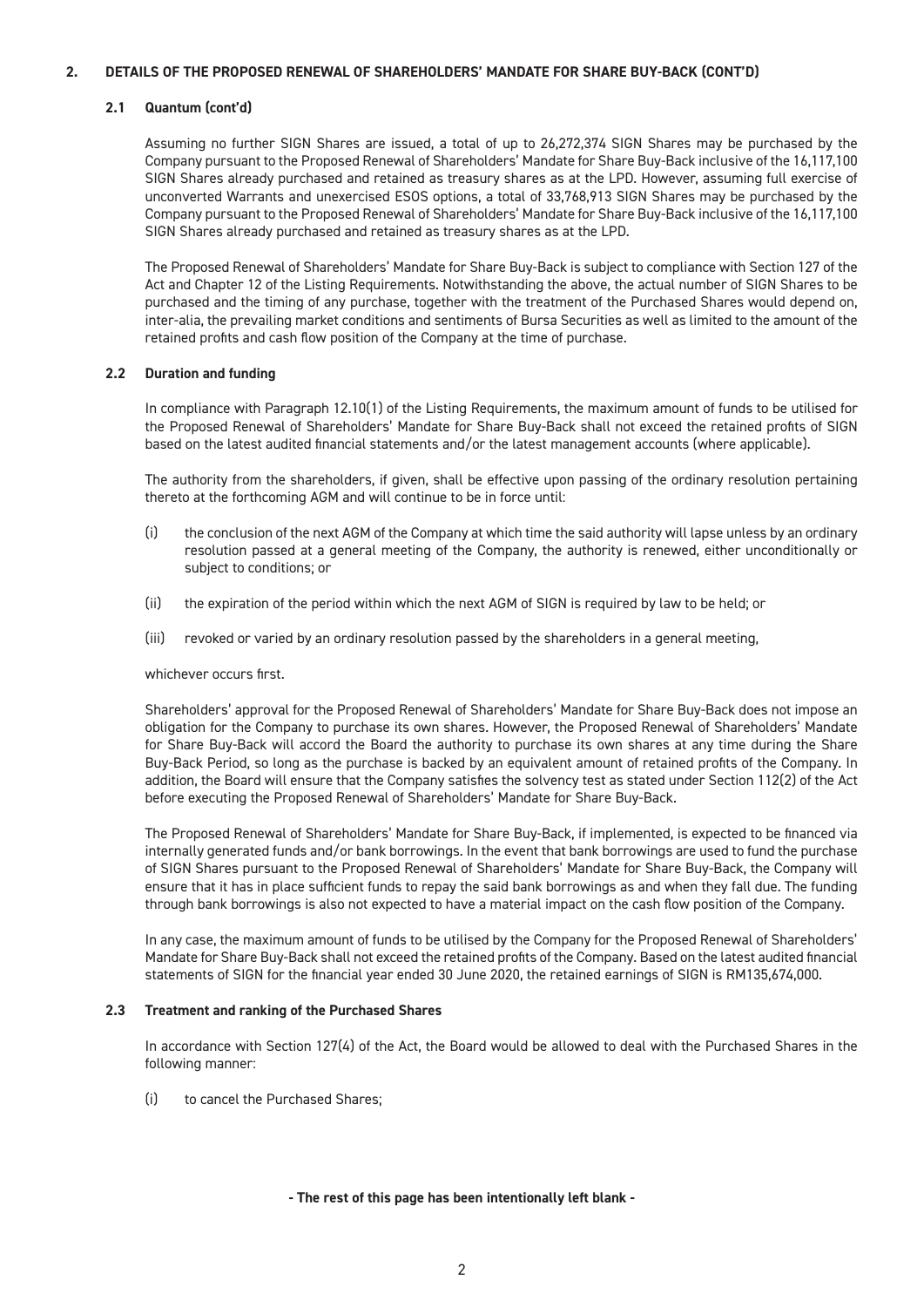#### **2. DETAILS OF THE PROPOSED RENEWAL OF SHAREHOLDERS' MANDATE FOR SHARE BUY-BACK (CONT'D)**

#### **2.1 Quantum (cont'd)**

Assuming no further SIGN Shares are issued, a total of up to 26,272,374 SIGN Shares may be purchased by the Company pursuant to the Proposed Renewal of Shareholders' Mandate for Share Buy-Back inclusive of the 16,117,100 SIGN Shares already purchased and retained as treasury shares as at the LPD. However, assuming full exercise of unconverted Warrants and unexercised ESOS options, a total of 33,768,913 SIGN Shares may be purchased by the Company pursuant to the Proposed Renewal of Shareholders' Mandate for Share Buy-Back inclusive of the 16,117,100 SIGN Shares already purchased and retained as treasury shares as at the LPD.

The Proposed Renewal of Shareholders' Mandate for Share Buy-Back is subject to compliance with Section 127 of the Act and Chapter 12 of the Listing Requirements. Notwithstanding the above, the actual number of SIGN Shares to be purchased and the timing of any purchase, together with the treatment of the Purchased Shares would depend on, inter-alia, the prevailing market conditions and sentiments of Bursa Securities as well as limited to the amount of the retained profits and cash flow position of the Company at the time of purchase.

#### **2.2 Duration and funding**

In compliance with Paragraph 12.10(1) of the Listing Requirements, the maximum amount of funds to be utilised for the Proposed Renewal of Shareholders' Mandate for Share Buy-Back shall not exceed the retained profits of SIGN based on the latest audited financial statements and/or the latest management accounts (where applicable).

The authority from the shareholders, if given, shall be effective upon passing of the ordinary resolution pertaining thereto at the forthcoming AGM and will continue to be in force until:

- (i) the conclusion of the next AGM of the Company at which time the said authority will lapse unless by an ordinary resolution passed at a general meeting of the Company, the authority is renewed, either unconditionally or subject to conditions; or
- (ii) the expiration of the period within which the next AGM of SIGN is required by law to be held; or
- (iii) revoked or varied by an ordinary resolution passed by the shareholders in a general meeting,

#### whichever occurs first.

Shareholders' approval for the Proposed Renewal of Shareholders' Mandate for Share Buy-Back does not impose an obligation for the Company to purchase its own shares. However, the Proposed Renewal of Shareholders' Mandate for Share Buy-Back will accord the Board the authority to purchase its own shares at any time during the Share Buy-Back Period, so long as the purchase is backed by an equivalent amount of retained profits of the Company. In addition, the Board will ensure that the Company satisfies the solvency test as stated under Section 112(2) of the Act before executing the Proposed Renewal of Shareholders' Mandate for Share Buy-Back.

The Proposed Renewal of Shareholders' Mandate for Share Buy-Back, if implemented, is expected to be financed via internally generated funds and/or bank borrowings. In the event that bank borrowings are used to fund the purchase of SIGN Shares pursuant to the Proposed Renewal of Shareholders' Mandate for Share Buy-Back, the Company will ensure that it has in place sufficient funds to repay the said bank borrowings as and when they fall due. The funding through bank borrowings is also not expected to have a material impact on the cash flow position of the Company.

In any case, the maximum amount of funds to be utilised by the Company for the Proposed Renewal of Shareholders' Mandate for Share Buy-Back shall not exceed the retained profits of the Company. Based on the latest audited financial statements of SIGN for the financial year ended 30 June 2020, the retained earnings of SIGN is RM135,674,000.

#### **2.3 Treatment and ranking of the Purchased Shares**

In accordance with Section 127(4) of the Act, the Board would be allowed to deal with the Purchased Shares in the following manner:

(i) to cancel the Purchased Shares;

#### **- The rest of this page has been intentionally left blank -**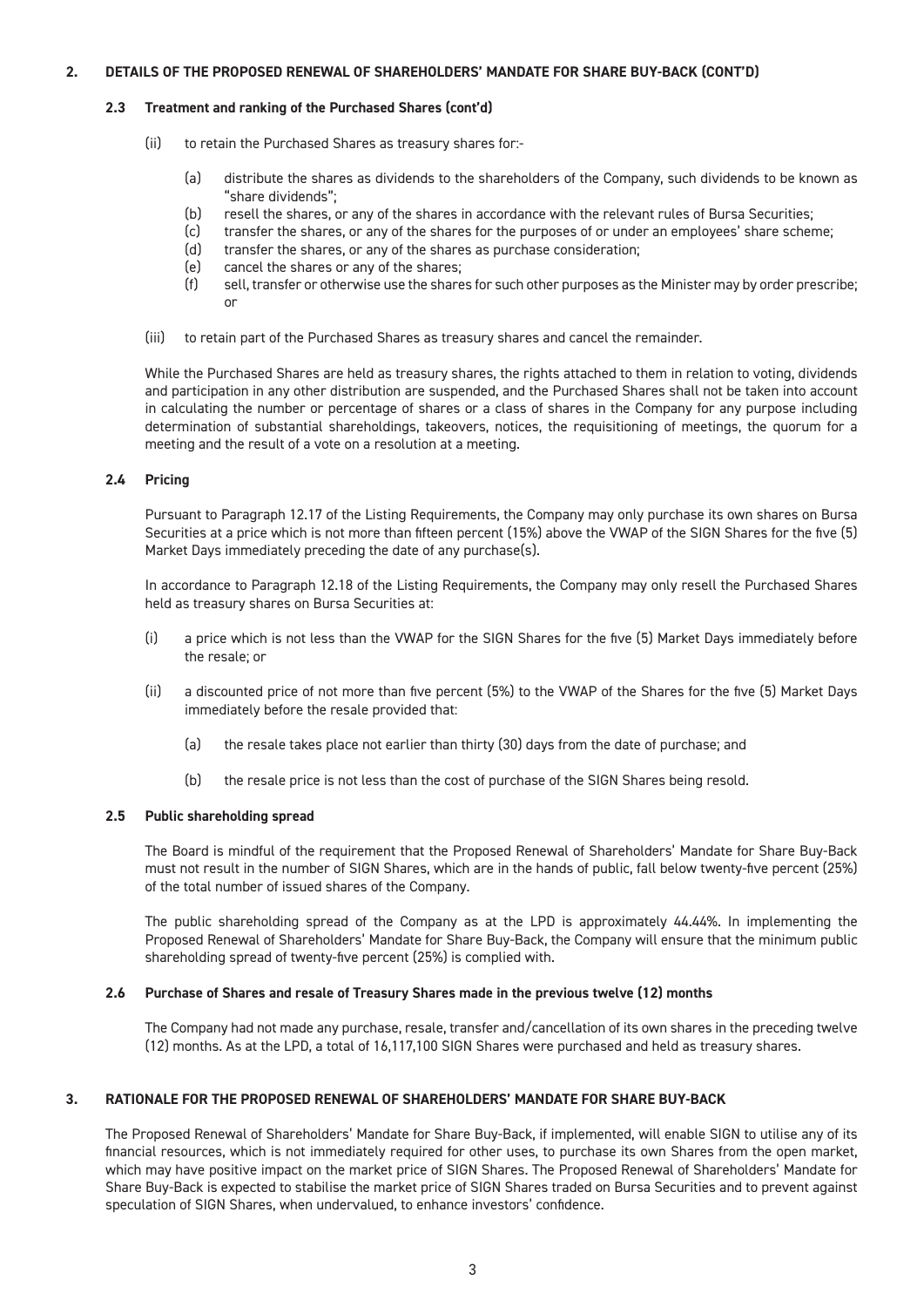#### **2. DETAILS OF THE PROPOSED RENEWAL OF SHAREHOLDERS' MANDATE FOR SHARE BUY-BACK (CONT'D)**

#### **2.3 Treatment and ranking of the Purchased Shares (cont'd)**

- (ii) to retain the Purchased Shares as treasury shares for:-
	- (a) distribute the shares as dividends to the shareholders of the Company, such dividends to be known as "share dividends";
	- (b) resell the shares, or any of the shares in accordance with the relevant rules of Bursa Securities;
	- (c) transfer the shares, or any of the shares for the purposes of or under an employees' share scheme;
	- (d) transfer the shares, or any of the shares as purchase consideration;
	- (e) cancel the shares or any of the shares;
	- (f) sell, transfer or otherwise use the shares for such other purposes as the Minister may by order prescribe; or
- (iii) to retain part of the Purchased Shares as treasury shares and cancel the remainder.

While the Purchased Shares are held as treasury shares, the rights attached to them in relation to voting, dividends and participation in any other distribution are suspended, and the Purchased Shares shall not be taken into account in calculating the number or percentage of shares or a class of shares in the Company for any purpose including determination of substantial shareholdings, takeovers, notices, the requisitioning of meetings, the quorum for a meeting and the result of a vote on a resolution at a meeting.

#### **2.4 Pricing**

Pursuant to Paragraph 12.17 of the Listing Requirements, the Company may only purchase its own shares on Bursa Securities at a price which is not more than fifteen percent (15%) above the VWAP of the SIGN Shares for the five (5) Market Days immediately preceding the date of any purchase(s).

In accordance to Paragraph 12.18 of the Listing Requirements, the Company may only resell the Purchased Shares held as treasury shares on Bursa Securities at:

- (i) a price which is not less than the VWAP for the SIGN Shares for the five (5) Market Days immediately before the resale; or
- (ii) a discounted price of not more than five percent (5%) to the VWAP of the Shares for the five (5) Market Days immediately before the resale provided that:
	- (a) the resale takes place not earlier than thirty (30) days from the date of purchase; and
	- (b) the resale price is not less than the cost of purchase of the SIGN Shares being resold.

#### **2.5 Public shareholding spread**

The Board is mindful of the requirement that the Proposed Renewal of Shareholders' Mandate for Share Buy-Back must not result in the number of SIGN Shares, which are in the hands of public, fall below twenty-five percent (25%) of the total number of issued shares of the Company.

The public shareholding spread of the Company as at the LPD is approximately 44.44%. In implementing the Proposed Renewal of Shareholders' Mandate for Share Buy-Back, the Company will ensure that the minimum public shareholding spread of twenty-five percent (25%) is complied with.

#### **2.6 Purchase of Shares and resale of Treasury Shares made in the previous twelve (12) months**

The Company had not made any purchase, resale, transfer and/cancellation of its own shares in the preceding twelve (12) months. As at the LPD, a total of 16,117,100 SIGN Shares were purchased and held as treasury shares.

#### **3. RATIONALE FOR THE PROPOSED RENEWAL OF SHAREHOLDERS' MANDATE FOR SHARE BUY-BACK**

The Proposed Renewal of Shareholders' Mandate for Share Buy-Back, if implemented, will enable SIGN to utilise any of its financial resources, which is not immediately required for other uses, to purchase its own Shares from the open market, which may have positive impact on the market price of SIGN Shares. The Proposed Renewal of Shareholders' Mandate for Share Buy-Back is expected to stabilise the market price of SIGN Shares traded on Bursa Securities and to prevent against speculation of SIGN Shares, when undervalued, to enhance investors' confidence.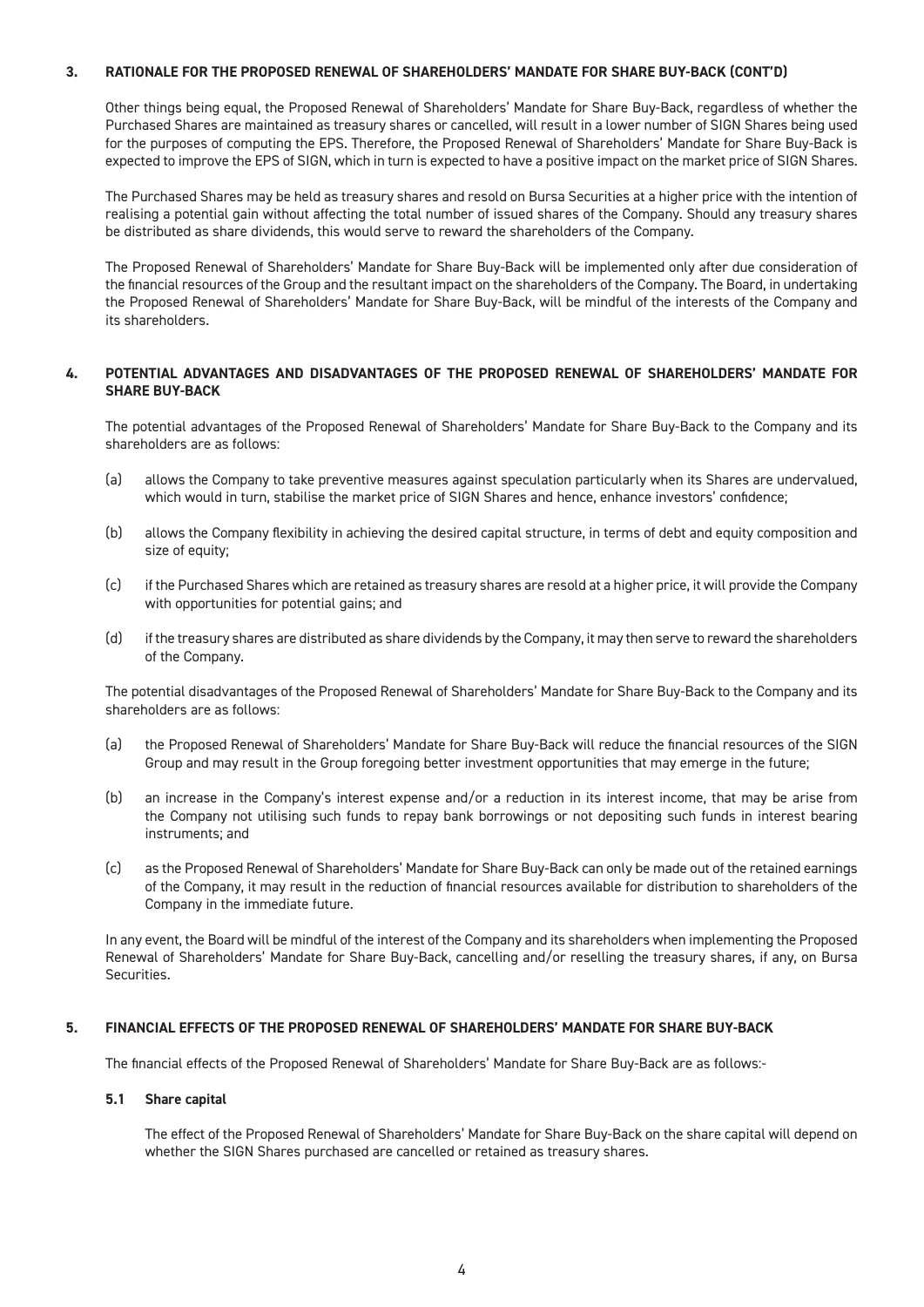#### **3. RATIONALE FOR THE PROPOSED RENEWAL OF SHAREHOLDERS' MANDATE FOR SHARE BUY-BACK (CONT'D)**

Other things being equal, the Proposed Renewal of Shareholders' Mandate for Share Buy-Back, regardless of whether the Purchased Shares are maintained as treasury shares or cancelled, will result in a lower number of SIGN Shares being used for the purposes of computing the EPS. Therefore, the Proposed Renewal of Shareholders' Mandate for Share Buy-Back is expected to improve the EPS of SIGN, which in turn is expected to have a positive impact on the market price of SIGN Shares.

The Purchased Shares may be held as treasury shares and resold on Bursa Securities at a higher price with the intention of realising a potential gain without affecting the total number of issued shares of the Company. Should any treasury shares be distributed as share dividends, this would serve to reward the shareholders of the Company.

The Proposed Renewal of Shareholders' Mandate for Share Buy-Back will be implemented only after due consideration of the financial resources of the Group and the resultant impact on the shareholders of the Company. The Board, in undertaking the Proposed Renewal of Shareholders' Mandate for Share Buy-Back, will be mindful of the interests of the Company and its shareholders.

#### **4. POTENTIAL ADVANTAGES AND DISADVANTAGES OF THE PROPOSED RENEWAL OF SHAREHOLDERS' MANDATE FOR SHARE BUY-BACK**

The potential advantages of the Proposed Renewal of Shareholders' Mandate for Share Buy-Back to the Company and its shareholders are as follows:

- (a) allows the Company to take preventive measures against speculation particularly when its Shares are undervalued, which would in turn, stabilise the market price of SIGN Shares and hence, enhance investors' confidence;
- (b) allows the Company flexibility in achieving the desired capital structure, in terms of debt and equity composition and size of equity;
- (c) if the Purchased Shares which are retained as treasury shares are resold at a higher price, it will provide the Company with opportunities for potential gains; and
- (d) if the treasury shares are distributed as share dividends by the Company, it may then serve to reward the shareholders of the Company.

The potential disadvantages of the Proposed Renewal of Shareholders' Mandate for Share Buy-Back to the Company and its shareholders are as follows:

- (a) the Proposed Renewal of Shareholders' Mandate for Share Buy-Back will reduce the financial resources of the SIGN Group and may result in the Group foregoing better investment opportunities that may emerge in the future;
- (b) an increase in the Company's interest expense and/or a reduction in its interest income, that may be arise from the Company not utilising such funds to repay bank borrowings or not depositing such funds in interest bearing instruments; and
- (c) as the Proposed Renewal of Shareholders' Mandate for Share Buy-Back can only be made out of the retained earnings of the Company, it may result in the reduction of financial resources available for distribution to shareholders of the Company in the immediate future.

In any event, the Board will be mindful of the interest of the Company and its shareholders when implementing the Proposed Renewal of Shareholders' Mandate for Share Buy-Back, cancelling and/or reselling the treasury shares, if any, on Bursa Securities.

#### **5. FINANCIAL EFFECTS OF THE PROPOSED RENEWAL OF SHAREHOLDERS' MANDATE FOR SHARE BUY-BACK**

The financial effects of the Proposed Renewal of Shareholders' Mandate for Share Buy-Back are as follows:-

#### **5.1 Share capital**

The effect of the Proposed Renewal of Shareholders' Mandate for Share Buy-Back on the share capital will depend on whether the SIGN Shares purchased are cancelled or retained as treasury shares.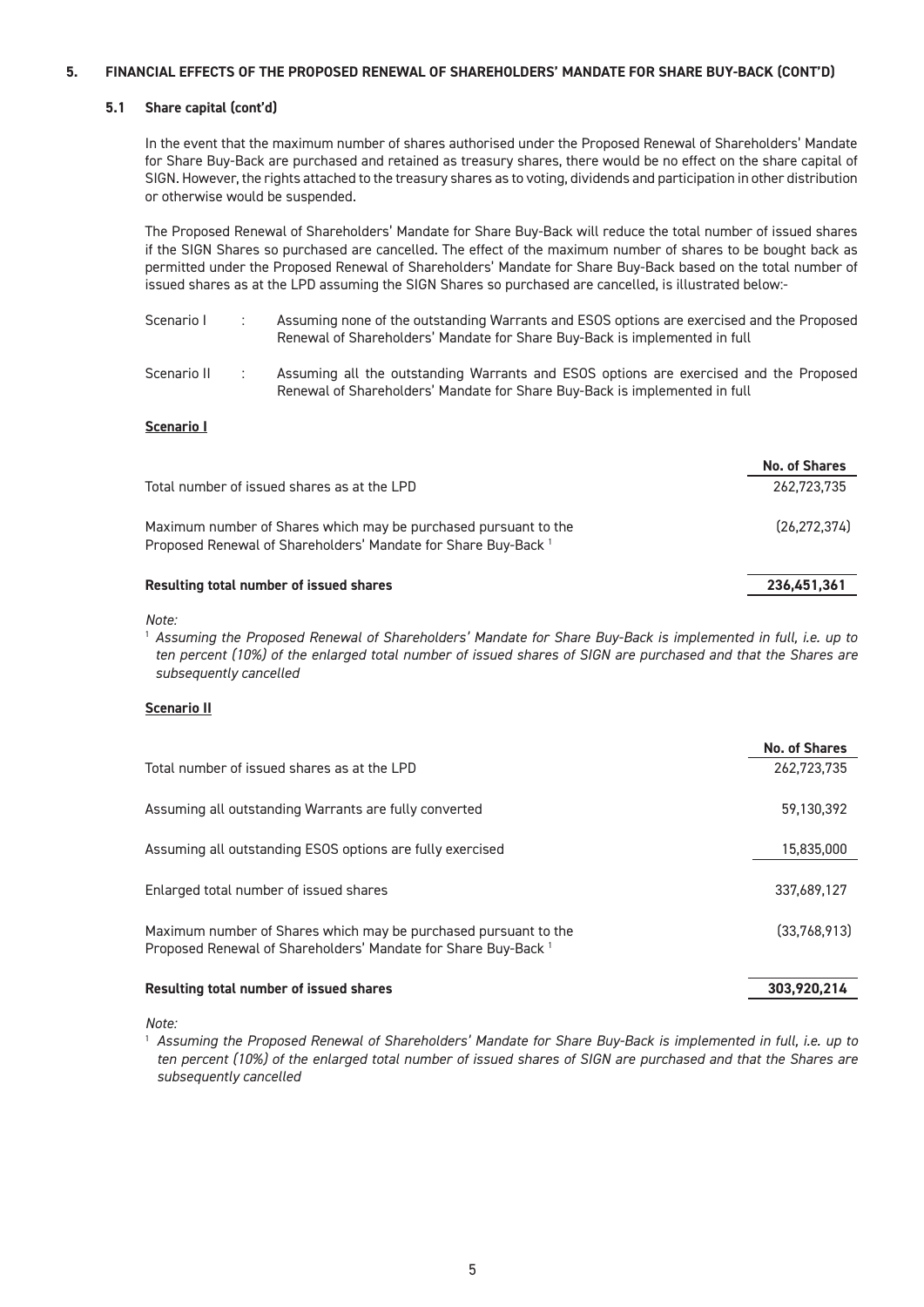#### **5. FINANCIAL EFFECTS OF THE PROPOSED RENEWAL OF SHAREHOLDERS' MANDATE FOR SHARE BUY-BACK (CONT'D)**

#### **5.1 Share capital (cont'd)**

In the event that the maximum number of shares authorised under the Proposed Renewal of Shareholders' Mandate for Share Buy-Back are purchased and retained as treasury shares, there would be no effect on the share capital of SIGN. However, the rights attached to the treasury shares as to voting, dividends and participation in other distribution or otherwise would be suspended.

The Proposed Renewal of Shareholders' Mandate for Share Buy-Back will reduce the total number of issued shares if the SIGN Shares so purchased are cancelled. The effect of the maximum number of shares to be bought back as permitted under the Proposed Renewal of Shareholders' Mandate for Share Buy-Back based on the total number of issued shares as at the LPD assuming the SIGN Shares so purchased are cancelled, is illustrated below:-

- Scenario I : Assuming none of the outstanding Warrants and ESOS options are exercised and the Proposed Renewal of Shareholders' Mandate for Share Buy-Back is implemented in full
- Scenario II : Assuming all the outstanding Warrants and ESOS options are exercised and the Proposed Renewal of Shareholders' Mandate for Share Buy-Back is implemented in full

#### **Scenario I**

|                                                                                                                                              | <b>No. of Shares</b> |
|----------------------------------------------------------------------------------------------------------------------------------------------|----------------------|
| Total number of issued shares as at the LPD                                                                                                  | 262,723,735          |
| Maximum number of Shares which may be purchased pursuant to the<br>Proposed Renewal of Shareholders' Mandate for Share Buy-Back <sup>1</sup> | (26.272.374)         |
| Resulting total number of issued shares                                                                                                      | 236,451,361          |

*Note:* 

<sup>1</sup> *Assuming the Proposed Renewal of Shareholders' Mandate for Share Buy-Back is implemented in full, i.e. up to ten percent (10%) of the enlarged total number of issued shares of SIGN are purchased and that the Shares are subsequently cancelled*

#### **Scenario II**

|                                                                                                                                              | <b>No. of Shares</b> |
|----------------------------------------------------------------------------------------------------------------------------------------------|----------------------|
| Total number of issued shares as at the LPD                                                                                                  | 262.723.735          |
| Assuming all outstanding Warrants are fully converted                                                                                        | 59,130,392           |
| Assuming all outstanding ESOS options are fully exercised                                                                                    | 15,835,000           |
| Enlarged total number of issued shares                                                                                                       | 337,689,127          |
| Maximum number of Shares which may be purchased pursuant to the<br>Proposed Renewal of Shareholders' Mandate for Share Buy-Back <sup>1</sup> | (33,768,913)         |
| Resulting total number of issued shares                                                                                                      | 303,920,214          |

*Note:*

1 *Assuming the Proposed Renewal of Shareholders' Mandate for Share Buy-Back is implemented in full, i.e. up to ten percent (10%) of the enlarged total number of issued shares of SIGN are purchased and that the Shares are subsequently cancelled*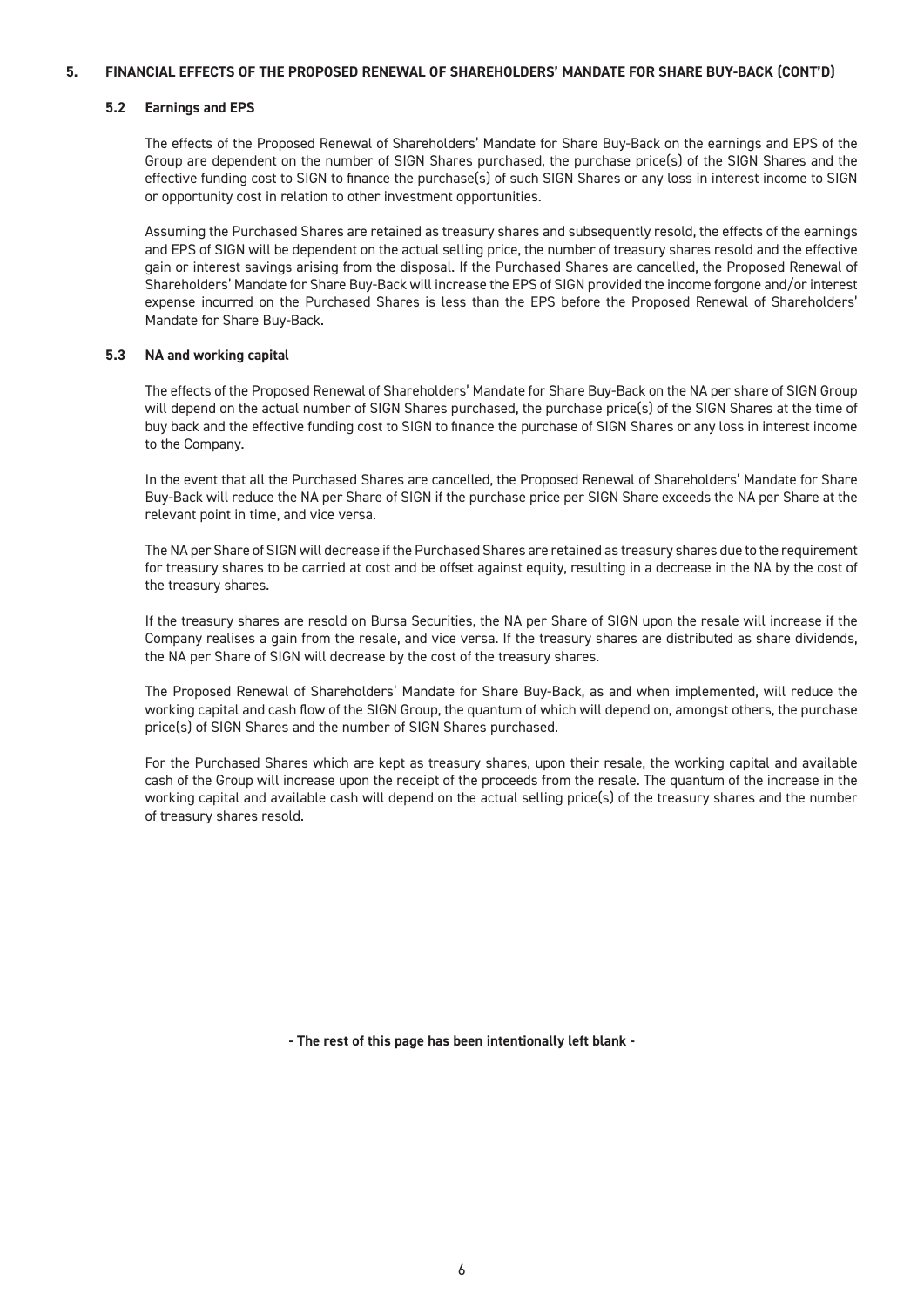#### **5. FINANCIAL EFFECTS OF THE PROPOSED RENEWAL OF SHAREHOLDERS' MANDATE FOR SHARE BUY-BACK (CONT'D)**

#### **5.2 Earnings and EPS**

The effects of the Proposed Renewal of Shareholders' Mandate for Share Buy-Back on the earnings and EPS of the Group are dependent on the number of SIGN Shares purchased, the purchase price(s) of the SIGN Shares and the effective funding cost to SIGN to finance the purchase(s) of such SIGN Shares or any loss in interest income to SIGN or opportunity cost in relation to other investment opportunities.

Assuming the Purchased Shares are retained as treasury shares and subsequently resold, the effects of the earnings and EPS of SIGN will be dependent on the actual selling price, the number of treasury shares resold and the effective gain or interest savings arising from the disposal. If the Purchased Shares are cancelled, the Proposed Renewal of Shareholders' Mandate for Share Buy-Back will increase the EPS of SIGN provided the income forgone and/or interest expense incurred on the Purchased Shares is less than the EPS before the Proposed Renewal of Shareholders' Mandate for Share Buy-Back.

#### **5.3 NA and working capital**

The effects of the Proposed Renewal of Shareholders' Mandate for Share Buy-Back on the NA per share of SIGN Group will depend on the actual number of SIGN Shares purchased, the purchase price(s) of the SIGN Shares at the time of buy back and the effective funding cost to SIGN to finance the purchase of SIGN Shares or any loss in interest income to the Company.

In the event that all the Purchased Shares are cancelled, the Proposed Renewal of Shareholders' Mandate for Share Buy-Back will reduce the NA per Share of SIGN if the purchase price per SIGN Share exceeds the NA per Share at the relevant point in time, and vice versa.

The NA per Share of SIGN will decrease if the Purchased Shares are retained as treasury shares due to the requirement for treasury shares to be carried at cost and be offset against equity, resulting in a decrease in the NA by the cost of the treasury shares.

If the treasury shares are resold on Bursa Securities, the NA per Share of SIGN upon the resale will increase if the Company realises a gain from the resale, and vice versa. If the treasury shares are distributed as share dividends, the NA per Share of SIGN will decrease by the cost of the treasury shares.

The Proposed Renewal of Shareholders' Mandate for Share Buy-Back, as and when implemented, will reduce the working capital and cash flow of the SIGN Group, the quantum of which will depend on, amongst others, the purchase price(s) of SIGN Shares and the number of SIGN Shares purchased.

For the Purchased Shares which are kept as treasury shares, upon their resale, the working capital and available cash of the Group will increase upon the receipt of the proceeds from the resale. The quantum of the increase in the working capital and available cash will depend on the actual selling price(s) of the treasury shares and the number of treasury shares resold.

**- The rest of this page has been intentionally left blank -**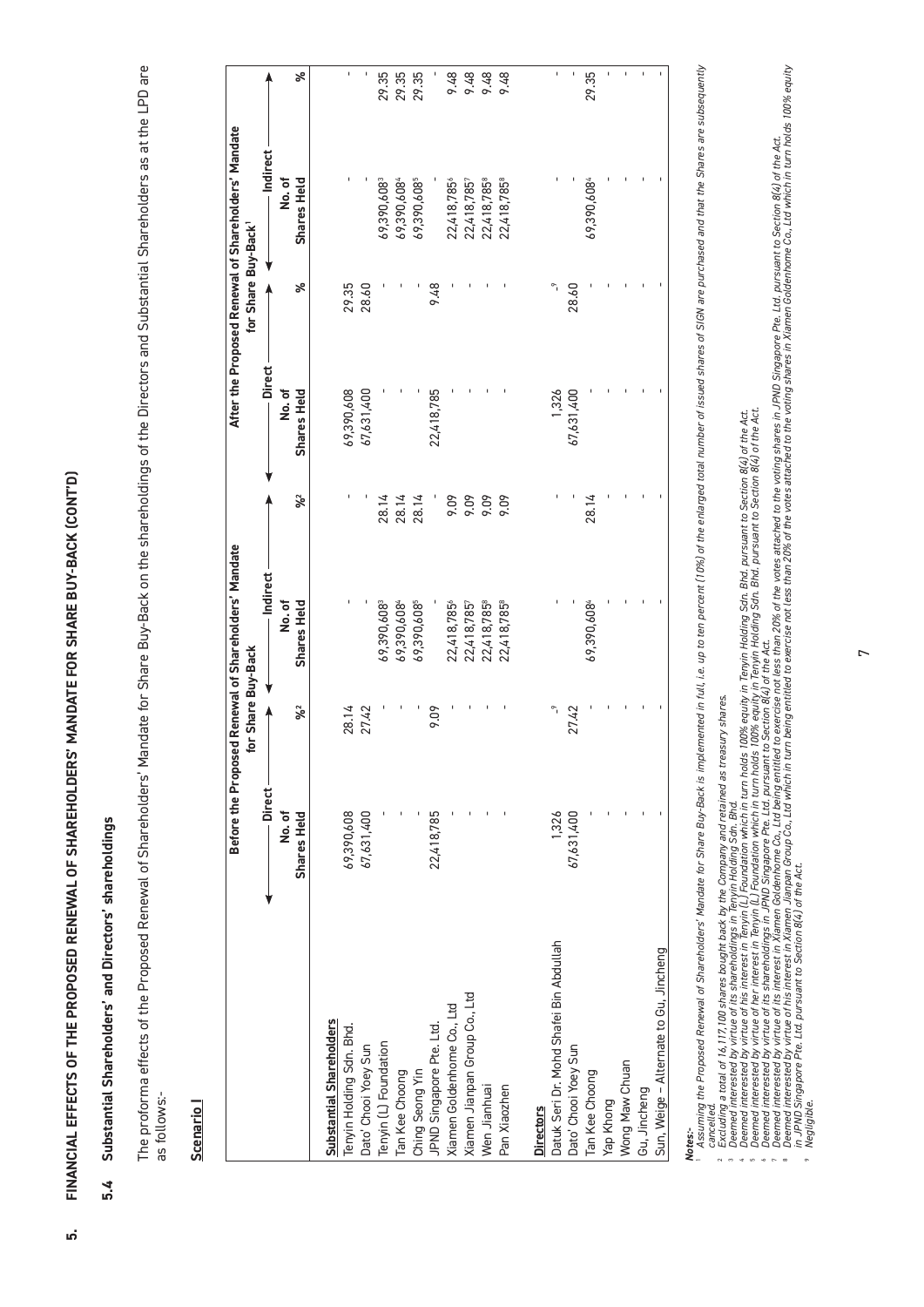FINANCIAL EFFECTS OF THE PROPOSED RENEWAL OF SHAREHOLDERS' MANDATE FOR SHARE BUY-BACK (CONT'D) **5. FINANCIAL EFFECTS OF THE PROPOSED RENEWAL OF SHAREHOLDERS' MANDATE FOR SHARE BUY-BACK (CONT'D)**

.<br>ด

# Substantial Shareholders' and Directors' shareholdings **5.4 Substantial Shareholders' and Directors' shareholdings** 5.4

The proforma effects of the Proposed Renewal of Shareholders' Mandate for Share Buy-Back on the shareholdings of the Directors and Substantial Shareholders as at the LPD are The proforma effects of the Proposed Renewal of Shareholders' Mandate for Share Buy-Back on the shareholdings of the Directors and Substantial Shareholders as at the LPD are as follows:as follows:-

## Scenario I **Scenario I**

|                                         |             |                    | Before the Proposed Renewal of Shareholders' Mandate |       |               |                    | After the Proposed Renewal of Shareholders' Mandate |       |
|-----------------------------------------|-------------|--------------------|------------------------------------------------------|-------|---------------|--------------------|-----------------------------------------------------|-------|
|                                         |             | for Share Buy-Back |                                                      |       |               | for Share Buy-Back |                                                     |       |
|                                         | Direct      |                    | Indirect                                             |       | <b>Direct</b> |                    | Indirect                                            |       |
|                                         | No.of       |                    | No.of                                                |       | No.of         |                    | No.of                                               |       |
|                                         | Shares Held | $% =$              | Shares Held                                          | $% =$ | Shares Held   | ৯ৎ                 | Shares Held                                         | వ్    |
| Substantial Shareholders                |             |                    |                                                      |       |               |                    |                                                     |       |
| Tenyin Holding Sdn. Bhd.                | 69,390,608  | 28.14              |                                                      |       | 69,390,608    | 29.35              |                                                     | ı     |
| Dato' Chooi Yoey Sun                    | 67,631,400  | 27.42              |                                                      |       | 67,631,400    | 28.60              |                                                     |       |
| Tenyin (L) Foundation                   |             |                    | 69,390,608                                           | 28.14 |               |                    | 69,390,608                                          | 29.35 |
| Tan Kee Choong                          |             |                    | 69,390,6084                                          | 28.14 |               |                    | 69,390,6084                                         | 29.35 |
| Ching Seong Yin                         |             |                    | 69,390,608                                           | 28.14 |               |                    | 69,390,608                                          | 29.35 |
| JPND Singapore Pte. Ltd.                | 22,418,785  | 9.09               |                                                      |       | 22,418,785    | 9.48               |                                                     |       |
| Xiamen Goldenhome Co., Ltd              |             |                    | 22,418,785°                                          | 9.09  |               |                    | 22,418,785                                          | 9.48  |
| Xiamen Jianpan Group Co., Ltd           |             |                    | 22,418,7857                                          | 9.09  |               |                    | 22,418,7857                                         | 9.48  |
| Wen Jianhuai                            |             |                    | 22,418,785                                           | 9.09  |               |                    | 22,418,785                                          | 9.48  |
| Pan Xiaozhen                            |             |                    | 22,418,785                                           | 9.09  |               |                    | 22,418,785                                          | 9.48  |
| <b>Directors</b>                        |             |                    |                                                      |       |               |                    |                                                     |       |
| Datuk Seri Dr. Mohd Shafei Bin Abdullah | 1,326       |                    |                                                      |       | 1,326         |                    |                                                     | ı     |
| Dato' Chooi Yoey Sun                    | 67,631,400  | 27.42              |                                                      |       | 67,631,400    | 28.60              |                                                     |       |
| Tan Kee Choong                          |             |                    | 69,390,6084                                          | 28.14 |               |                    | 69,390,6084                                         | 29.35 |
| Yap Khong                               |             |                    |                                                      |       |               |                    |                                                     |       |
| Wong Maw Chuan                          |             |                    |                                                      |       |               |                    |                                                     |       |
| Gu, Jincheng                            |             |                    |                                                      |       |               |                    |                                                     |       |
| Sun, Weige - Alternate to Gu, Jincheng  |             |                    |                                                      |       |               |                    |                                                     |       |

## *Notes:-*

4

Assuming the Proposed Renewal of Shareholders' Mandate for Share Blu-Back is implemented in tull, i.e. up to ten percent (10%) of the enlarged total number of issued shares of SIGN are purchased and the Shares are subseque Assuming the Proposed Renewal of Shareholders' Mandate for Share Buy-Back is implemented in full, i.e. up to ten percent (10%) of the enlarged total number of issued shares of SIGN are purchased and that the Shares are sub *Excluding a total of 16,117,100 shares bought back by the Company and retained as treasury shares. cancelled.*

*Deemed interested by virtue of its shareholdings in Tenyin Holding Sdn. Bhd.* 

*Deemed interested by virtue of his interest in Tenyin (L) Foundation which in turn holds 100% equity in Tenyin Holding Sdn. Bhd. pursuant to Section 8(4) of the Act.* 

*Deemed interested by virtue of her interest in Tenyin (L) Foundation which in turn holds 100% equity in Tenyin Holding Sdn. Bhd. pursuant to Section 8(4) of the Act.* 

*Deemed interested by virtue of its shareholdings in JPND Singapore Pte. Ltd. pursuant to Section 8(4) of the Act.*

" Deemed interested by virtue of its interest in Xiamen Goldenhome Co., Ltd being entitled to exercise not less than 20% of the votes attached to the voting shares in JPND Singapore Pte. Ltd. pursuant to Section 8(4) of th  $^{\alpha}$ 

® Deemed invirtue of his interest in Xiamen Jianpan Group Co., Ltd which in turn being entitled to exercise not less than 20% of the votes attached to the voting shares in Xiamen Goldenhome Co., Ltd which in turn holds 100

*Negligible.*

 $\circ$ 

 $\overline{r}$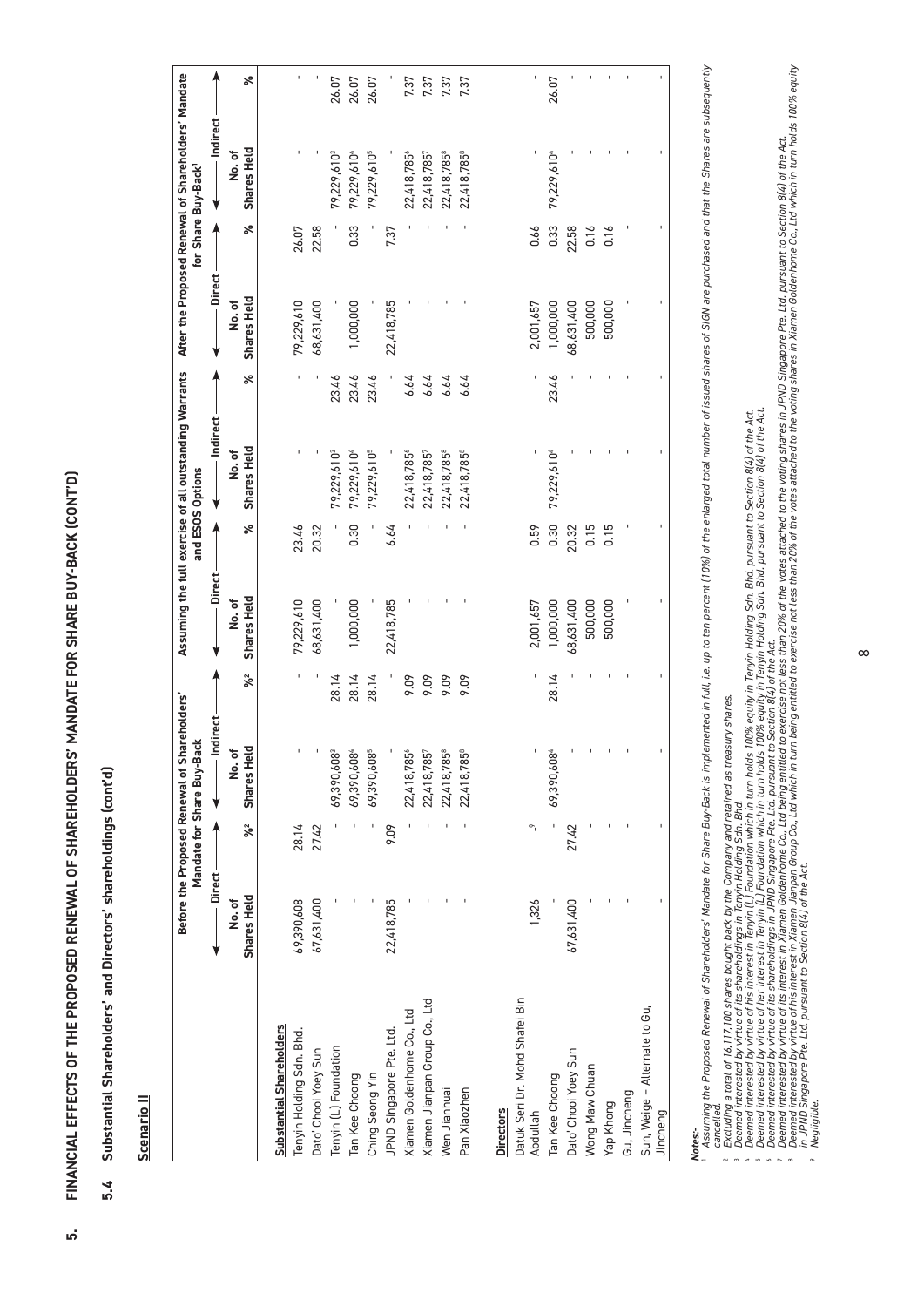FINANCIAL EFFECTS OF THE PROPOSED RENEWAL OF SHAREHOLDERS' MANDATE FOR SHARE BUY-BACK (CONT'D) **5. FINANCIAL EFFECTS OF THE PROPOSED RENEWAL OF SHAREHOLDERS' MANDATE FOR SHARE BUY-BACK (CONT'D)**

.<br>ด

Substantial Shareholders' and Directors' shareholdings (cont'd) **5.4 Substantial Shareholders' and Directors' shareholdings (cont'd)** 5.4

Scenario II **Scenario II**

|                                            |                      |       | Before the Proposed Renewal of Shareholders'<br>Mandate for Share Buy-Back |                      | Assuming the full exercise of all outstanding Warrants |       | and ESOS Options        |       |                      |       | After the Proposed Renewal of Shareholders' Mandate<br>for Share Buy-Back <sup>1</sup> |       |
|--------------------------------------------|----------------------|-------|----------------------------------------------------------------------------|----------------------|--------------------------------------------------------|-------|-------------------------|-------|----------------------|-------|----------------------------------------------------------------------------------------|-------|
|                                            | - Direct -           |       | Indirect                                                                   |                      | <b>Direct</b>                                          |       | Indirect                |       | <b>Direct</b>        |       | Indirect                                                                               |       |
|                                            | Shares Held<br>No.of | $% =$ | Shares Held<br>No.of                                                       | $\mathbf{\hat{x}}^2$ | Shares Held<br>No.of                                   | వ     | Shares Held<br>No.of    | వ     | Shares Held<br>No.of | ৯     | Shares Held<br>No.of                                                                   | వి    |
| <b>Substantial Shareholders</b>            |                      |       |                                                                            |                      |                                                        |       |                         |       |                      |       |                                                                                        |       |
| Tenyin Holding Sdn. Bhd.                   | 69,390,608           | 28.14 |                                                                            |                      | 79,229,610                                             | 23.46 |                         |       | 79,229,610           | 26.07 |                                                                                        |       |
| Dato' Chooi Yoey Sun                       | 67,631,400           | 27.42 |                                                                            |                      | 68,631,400                                             | 20.32 |                         |       | 68,631,400           | 22.58 |                                                                                        |       |
| Tenyin (L) Foundation                      |                      |       | 69,390,608                                                                 | 28.14                |                                                        |       | 79,229,610 <sup>3</sup> | 23.46 |                      |       | 79,229,610 <sup>3</sup>                                                                | 26.07 |
| Tan Kee Choong                             |                      |       | 69,390,6084                                                                | 28.14                | 1,000,000                                              | 0.30  | 79,229,6104             | 23.46 | 1,000,000            | 0.33  | 79,229,6104                                                                            | 26.07 |
| Ching Seong Yin                            |                      |       | 69,390,6085                                                                | 28.14                |                                                        |       | 79,229,610 <sup>5</sup> | 23.46 |                      |       | 79,229,610 <sup>5</sup>                                                                | 26.07 |
| JPND Singapore Pte. Ltd.                   | 22,418,785           | 9.09  |                                                                            |                      | 22,418,785                                             | 6.64  |                         |       | 22,418,785           | 7.37  |                                                                                        |       |
| Xiamen Goldenhome Co., Ltd                 |                      |       | 22,418,785                                                                 | 9.09                 |                                                        |       | 22,418,785              | 6.64  |                      |       | 22,418,785°                                                                            | 7.37  |
| Xiamen Jianpan Group Co., Ltd              |                      |       | 22,418,785                                                                 | 9.09                 |                                                        |       | 22,418,7857             | 6.64  |                      |       | 22,418,785                                                                             | 7.37  |
| Wen Jianhuai                               |                      |       | 22,418,7858                                                                | 9.09                 |                                                        |       | 22,418,7858             | 6.64  |                      |       | 22,418,785                                                                             | 7.37  |
| Pan Xiaozhen                               |                      |       | 22,418,7858                                                                | 9.09                 |                                                        |       | 22,418,785              | 6.64  |                      |       | 22,418,785                                                                             | 7.37  |
| <b>Directors</b>                           |                      |       |                                                                            |                      |                                                        |       |                         |       |                      |       |                                                                                        |       |
| Datuk Seri Dr. Mohd Shafei Bin<br>Abdullah | 1,326                |       |                                                                            |                      | 2,001,657                                              | 0.59  |                         |       | 2,001,657            | 0.66  |                                                                                        |       |
| Tan Kee Choong                             |                      |       | 69,390,6084                                                                | 28.14                | 1,000,000                                              | 0.30  | 79,229,6104             | 23.46 | 1,000,000            | 0.33  | 79,229,6104                                                                            | 26.07 |
| Dato' Chooi Yoey Sun                       | 67,631,400           | 27.42 |                                                                            |                      | 68,631,400                                             | 20.32 |                         |       | 68,631,400           | 22.58 |                                                                                        |       |
| Wong Maw Chuan                             |                      |       |                                                                            |                      | 500,000                                                | 0.15  |                         |       | 500,000              | 0.16  |                                                                                        |       |
| Yap Khong                                  |                      |       |                                                                            |                      | 500,000                                                | 0.15  |                         |       | 500,000              | 0.16  |                                                                                        |       |
| Gu, Jincheng                               |                      |       |                                                                            |                      |                                                        |       |                         |       |                      |       |                                                                                        |       |
| Sun, Weige - Alternate to Gu,<br>Jincheng  |                      |       |                                                                            |                      |                                                        |       |                         |       |                      |       |                                                                                        |       |

Assuming the Proposed Renewal of Shareholders' Mandate for Share for Palamental in the Live of the endspectation in the Characters of Sichland and that the Shareholders' Mandate for Share Bur-Back's implement of the Unit i **Notes:-**<br>In Assuming the Proposed Renewal of Shareholders' Mandate for Share Buy-Back is implemented. i.e. up to ten percent (10%) of the enlarged total number of issued shares of SIGN are purchased and that the Shares ar Assuming the Proposed Renewal of Shareholders' Mandate for Share Buy-Back is implemented in tull, i.e. up to ten percent (10%) of the enlarged total number of issued shares of SIGN are purchased and the Shares are subseque *cancelled.*  $\sim$ 

*Excluding a total of 16,117,100 shares bought back by the Company and retained as treasury shares.*

*Deemed interested by virtue of its shareholdings in Tenyin Holding Sdn. Bhd.*

*Deemed interested by virtue of his interest in Tenyin (L) Foundation which in turn holds 100% equity in Tenyin Holding Sdn. Bhd. pursuant to Section 8(4) of the Act.* 

*Deemed interested by virtue of her interest in Tenyin (L) Foundation which in turn holds 100% equity in Tenyin Holding Sdn. Bhd. pursuant to Section 8(4) of the Act.* 

*Deemed interested by virtue of its shareholdings in JPND Singapore Pte. Ltd. pursuant to Section 8(4) of the Act.*

" Deemed interested by virtue of its interest in Xiamen Goldenhome Co., Ltd being entitled to exercise not less than 20% of the votes attached to the voting shares in JPND Singapore Pte. Ltd. pursuant to Section 8(4) of th

® Deemed interested by virtue of his interest in Xiamen Jianpan Group Go, Ltd which in turn being entiled to exercise not less than 20% of the votes attached to the voting shares in Xiamen Goldenhome Co., Ltd winch in turn

 $\overline{9}$ 

*Negligible.* 

6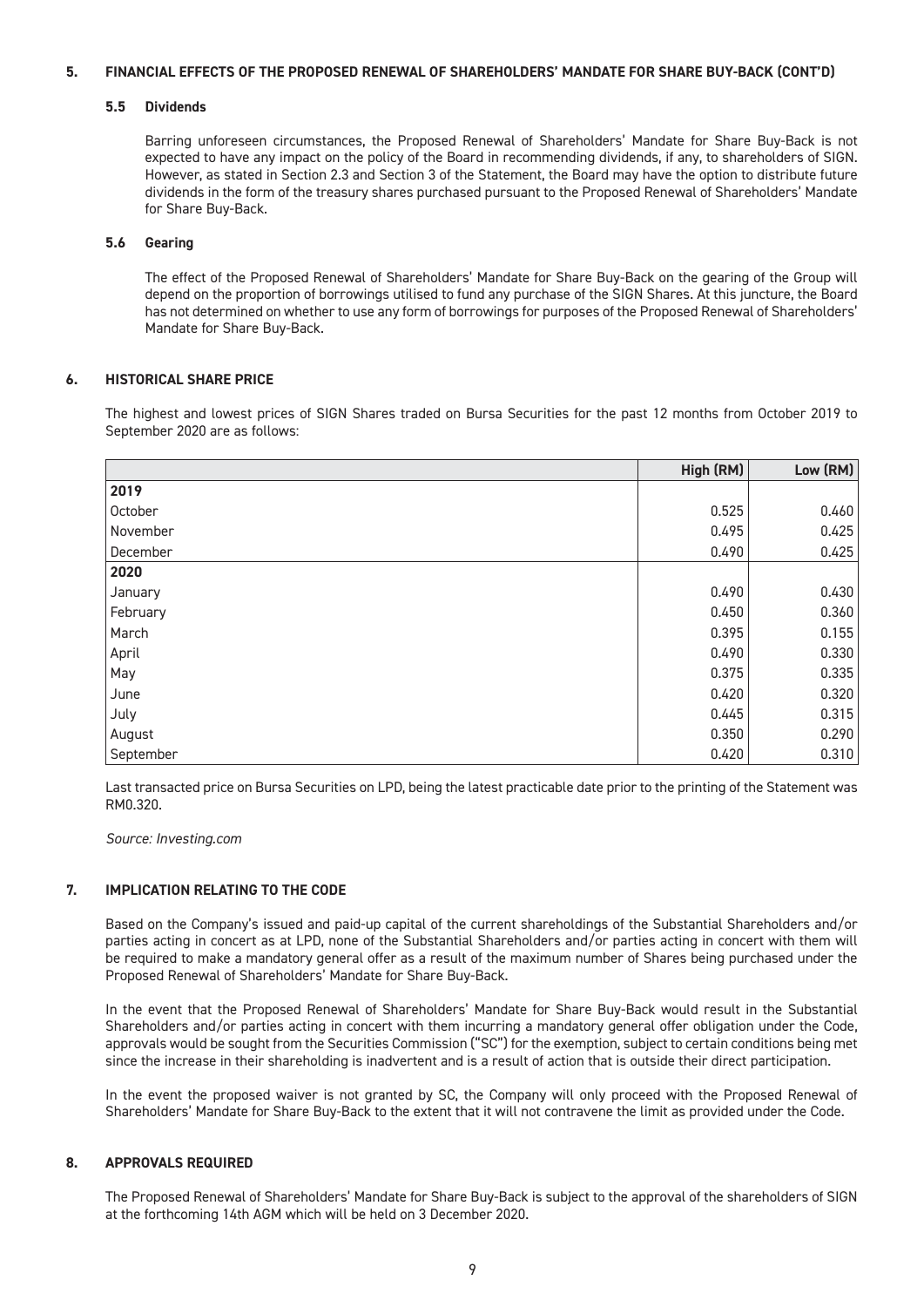#### **5. FINANCIAL EFFECTS OF THE PROPOSED RENEWAL OF SHAREHOLDERS' MANDATE FOR SHARE BUY-BACK (CONT'D)**

#### **5.5 Dividends**

Barring unforeseen circumstances, the Proposed Renewal of Shareholders' Mandate for Share Buy-Back is not expected to have any impact on the policy of the Board in recommending dividends, if any, to shareholders of SIGN. However, as stated in Section 2.3 and Section 3 of the Statement, the Board may have the option to distribute future dividends in the form of the treasury shares purchased pursuant to the Proposed Renewal of Shareholders' Mandate for Share Buy-Back.

#### **5.6 Gearing**

The effect of the Proposed Renewal of Shareholders' Mandate for Share Buy-Back on the gearing of the Group will depend on the proportion of borrowings utilised to fund any purchase of the SIGN Shares. At this juncture, the Board has not determined on whether to use any form of borrowings for purposes of the Proposed Renewal of Shareholders' Mandate for Share Buy-Back.

#### **6. HISTORICAL SHARE PRICE**

The highest and lowest prices of SIGN Shares traded on Bursa Securities for the past 12 months from October 2019 to September 2020 are as follows:

|           | High (RM) | Low (RM) |
|-----------|-----------|----------|
| 2019      |           |          |
| October   | 0.525     | 0.460    |
| November  | 0.495     | 0.425    |
| December  | 0.490     | 0.425    |
| 2020      |           |          |
| January   | 0.490     | 0.430    |
| February  | 0.450     | 0.360    |
| March     | 0.395     | 0.155    |
| April     | 0.490     | 0.330    |
| May       | 0.375     | 0.335    |
| June      | 0.420     | 0.320    |
| July      | 0.445     | 0.315    |
| August    | 0.350     | 0.290    |
| September | 0.420     | 0.310    |

Last transacted price on Bursa Securities on LPD, being the latest practicable date prior to the printing of the Statement was RM0.320.

*Source: Investing.com*

#### **7. IMPLICATION RELATING TO THE CODE**

Based on the Company's issued and paid-up capital of the current shareholdings of the Substantial Shareholders and/or parties acting in concert as at LPD, none of the Substantial Shareholders and/or parties acting in concert with them will be required to make a mandatory general offer as a result of the maximum number of Shares being purchased under the Proposed Renewal of Shareholders' Mandate for Share Buy-Back.

In the event that the Proposed Renewal of Shareholders' Mandate for Share Buy-Back would result in the Substantial Shareholders and/or parties acting in concert with them incurring a mandatory general offer obligation under the Code, approvals would be sought from the Securities Commission ("SC") for the exemption, subject to certain conditions being met since the increase in their shareholding is inadvertent and is a result of action that is outside their direct participation.

In the event the proposed waiver is not granted by SC, the Company will only proceed with the Proposed Renewal of Shareholders' Mandate for Share Buy-Back to the extent that it will not contravene the limit as provided under the Code.

#### **8. APPROVALS REQUIRED**

The Proposed Renewal of Shareholders' Mandate for Share Buy-Back is subject to the approval of the shareholders of SIGN at the forthcoming 14th AGM which will be held on 3 December 2020.